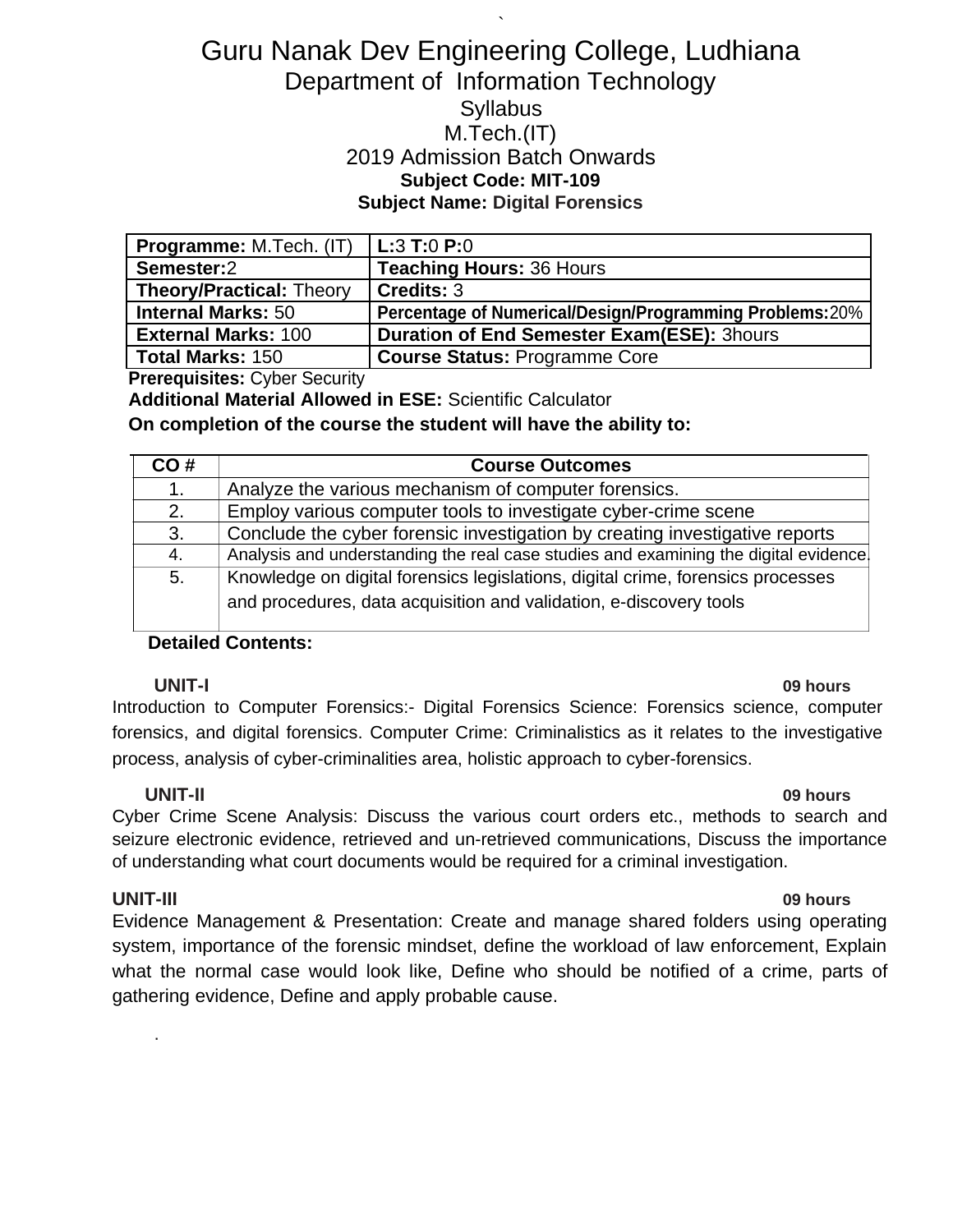# Guru Nanak Dev Engineering College, Ludhiana Department of Information Technology **Syllabus** M.Tech.(IT) 2019 Admission Batch Onwards **Subject Code: MIT-109 Subject Name: Digital Forensics**

`

| <b>Programme:</b> M.Tech. (IT)  | $ $ L:3 T:0 P:0                                         |
|---------------------------------|---------------------------------------------------------|
| Semester:2                      | <b>Teaching Hours: 36 Hours</b>                         |
| <b>Theory/Practical: Theory</b> | Credits: 3                                              |
|                                 |                                                         |
| <b>Internal Marks: 50</b>       | Percentage of Numerical/Design/Programming Problems:20% |
| <b>External Marks: 100</b>      | <b>Duration of End Semester Exam(ESE): 3hours</b>       |

**Prerequisites:** Cyber Security

**Additional Material Allowed in ESE:** Scientific Calculator

**On completion of the course the student will have the ability to:**

| CO# | <b>Course Outcomes</b>                                                               |
|-----|--------------------------------------------------------------------------------------|
| 1.  | Analyze the various mechanism of computer forensics.                                 |
| 2.  | Employ various computer tools to investigate cyber-crime scene                       |
| 3.  | Conclude the cyber forensic investigation by creating investigative reports          |
| 4.  | Analysis and understanding the real case studies and examining the digital evidence. |
| 5.  | Knowledge on digital forensics legislations, digital crime, forensics processes      |
|     | and procedures, data acquisition and validation, e-discovery tools                   |

#### **Detailed Contents:**

**UNIT-I 09 hours** Introduction to Computer Forensics:- Digital Forensics Science: Forensics science, computer forensics, and digital forensics. Computer Crime: Criminalistics as it relates to the investigative process, analysis of cyber-criminalities area, holistic approach to cyber-forensics.

#### **UNIT-II 09 hours**

Cyber Crime Scene Analysis: Discuss the various court orders etc., methods to search and seizure electronic evidence, retrieved and un-retrieved communications, Discuss the importance of understanding what court documents would be required for a criminal investigation.

### **UNIT-III 09 hours**

.

Evidence Management & Presentation: Create and manage shared folders using operating system, importance of the forensic mindset, define the workload of law enforcement, Explain what the normal case would look like, Define who should be notified of a crime, parts of gathering evidence, Define and apply probable cause.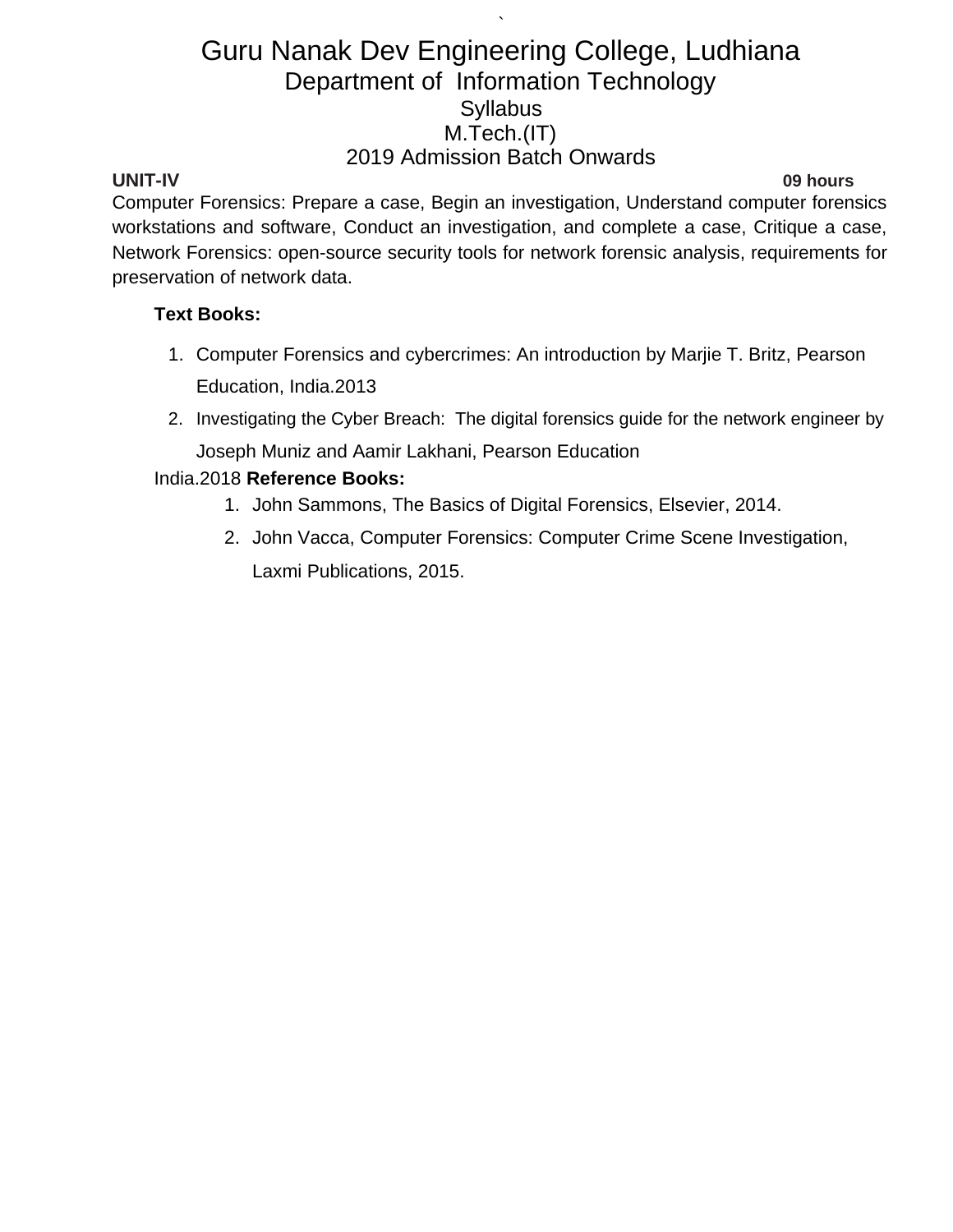`

**UNIT-IV 09 hours**

Computer Forensics: Prepare a case, Begin an investigation, Understand computer forensics workstations and software, Conduct an investigation, and complete a case, Critique a case, Network Forensics: open-source security tools for network forensic analysis, requirements for preservation of network data.

### **Text Books:**

- 1. Computer Forensics and cybercrimes: An introduction by Marjie T. Britz, Pearson Education, India.2013
- 2. Investigating the Cyber Breach: The digital forensics guide for the network engineer by Joseph Muniz and Aamir Lakhani, Pearson Education

## India.2018 **Reference Books:**

- 1. John Sammons, The Basics of Digital Forensics, Elsevier, 2014.
- 2. John Vacca, Computer Forensics: Computer Crime Scene Investigation, Laxmi Publications, 2015.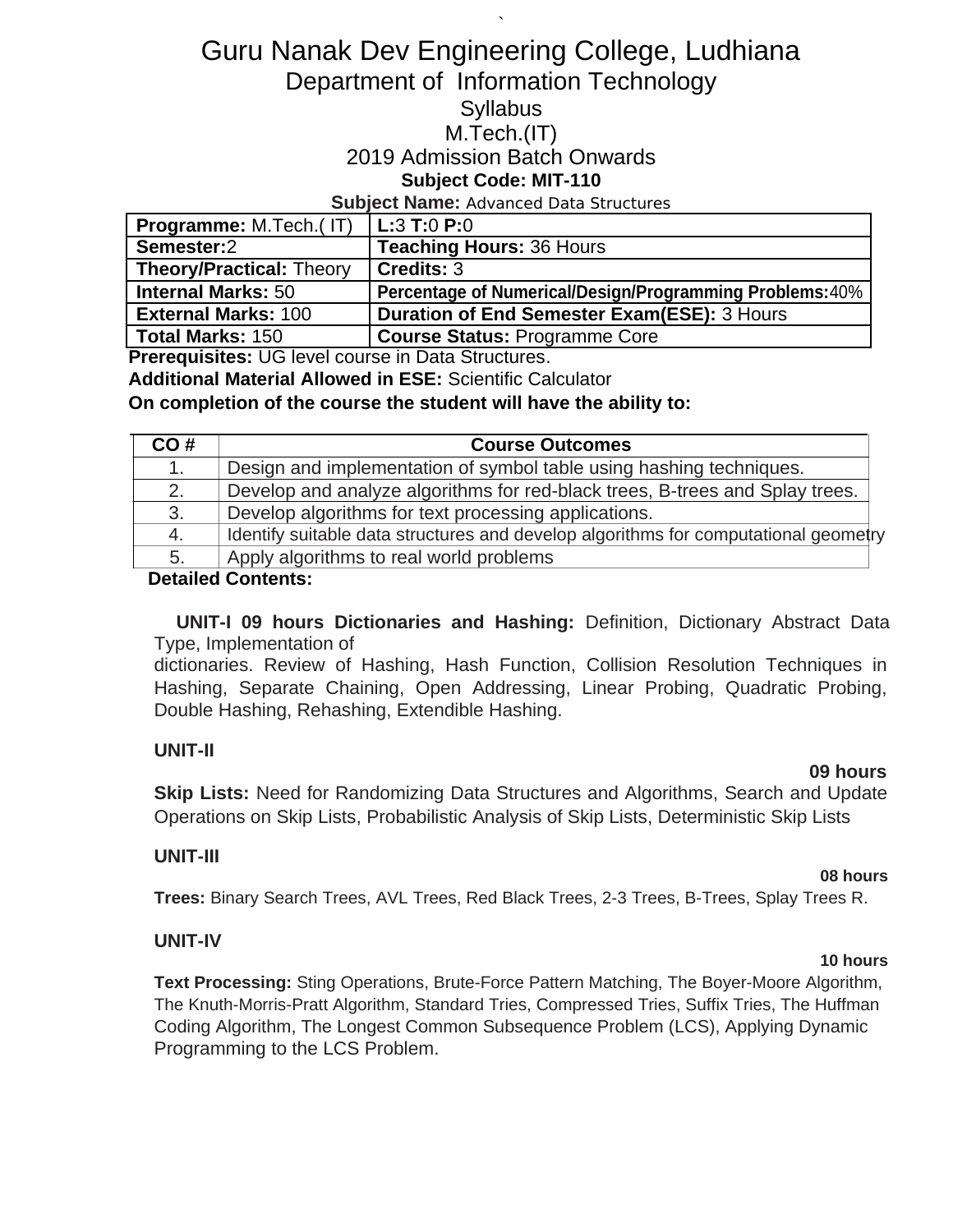# Guru Nanak Dev Engineering College, Ludhiana Department of Information Technology

`

# **Syllabus**

## M.Tech.(IT)

## 2019 Admission Batch Onwards

## **Subject Code: MIT-110**

#### **Subject Name:** Advanced Data Structures

| <b>Programme:</b> M.Tech.(IT)    | $L:3$ T:0 P:0                                            |
|----------------------------------|----------------------------------------------------------|
| Semester:2                       | <b>Teaching Hours: 36 Hours</b>                          |
| <b>Theory/Practical: Theory</b>  | Credits: 3                                               |
| Internal Marks: 50               | Percentage of Numerical/Design/Programming Problems: 40% |
| External Marks: $1\overline{00}$ | <b>Duration of End Semester Exam(ESE): 3 Hours</b>       |
| <b>Total Marks: 150</b>          | <b>Course Status: Programme Core</b>                     |

**Prerequisites:** UG level course in Data Structures.

**Additional Material Allowed in ESE:** Scientific Calculator

### **On completion of the course the student will have the ability to:**

| CO# | <b>Course Outcomes</b>                                                              |
|-----|-------------------------------------------------------------------------------------|
|     | Design and implementation of symbol table using hashing techniques.                 |
| 2.  | Develop and analyze algorithms for red-black trees, B-trees and Splay trees.        |
| 3.  | Develop algorithms for text processing applications.                                |
| 4.  | Identify suitable data structures and develop algorithms for computational geometry |
| 5.  | Apply algorithms to real world problems                                             |

#### **Detailed Contents:**

**UNIT-I 09 hours Dictionaries and Hashing:** Definition, Dictionary Abstract Data Type, Implementation of

dictionaries. Review of Hashing, Hash Function, Collision Resolution Techniques in Hashing, Separate Chaining, Open Addressing, Linear Probing, Quadratic Probing, Double Hashing, Rehashing, Extendible Hashing.

### **UNIT-II**

### **09 hours**

**Skip Lists:** Need for Randomizing Data Structures and Algorithms, Search and Update Operations on Skip Lists, Probabilistic Analysis of Skip Lists, Deterministic Skip Lists

### **UNIT-III**

#### **08 hours**

**Trees:** Binary Search Trees, AVL Trees, Red Black Trees, 2-3 Trees, B-Trees, Splay Trees R.

### **UNIT-IV**

## **Text Processing:** Sting Operations, Brute-Force Pattern Matching, The Boyer-Moore Algorithm, The Knuth-Morris-Pratt Algorithm, Standard Tries, Compressed Tries, Suffix Tries, The Huffman Coding Algorithm, The Longest Common Subsequence Problem (LCS), Applying Dynamic Programming to the LCS Problem.

### **10 hours**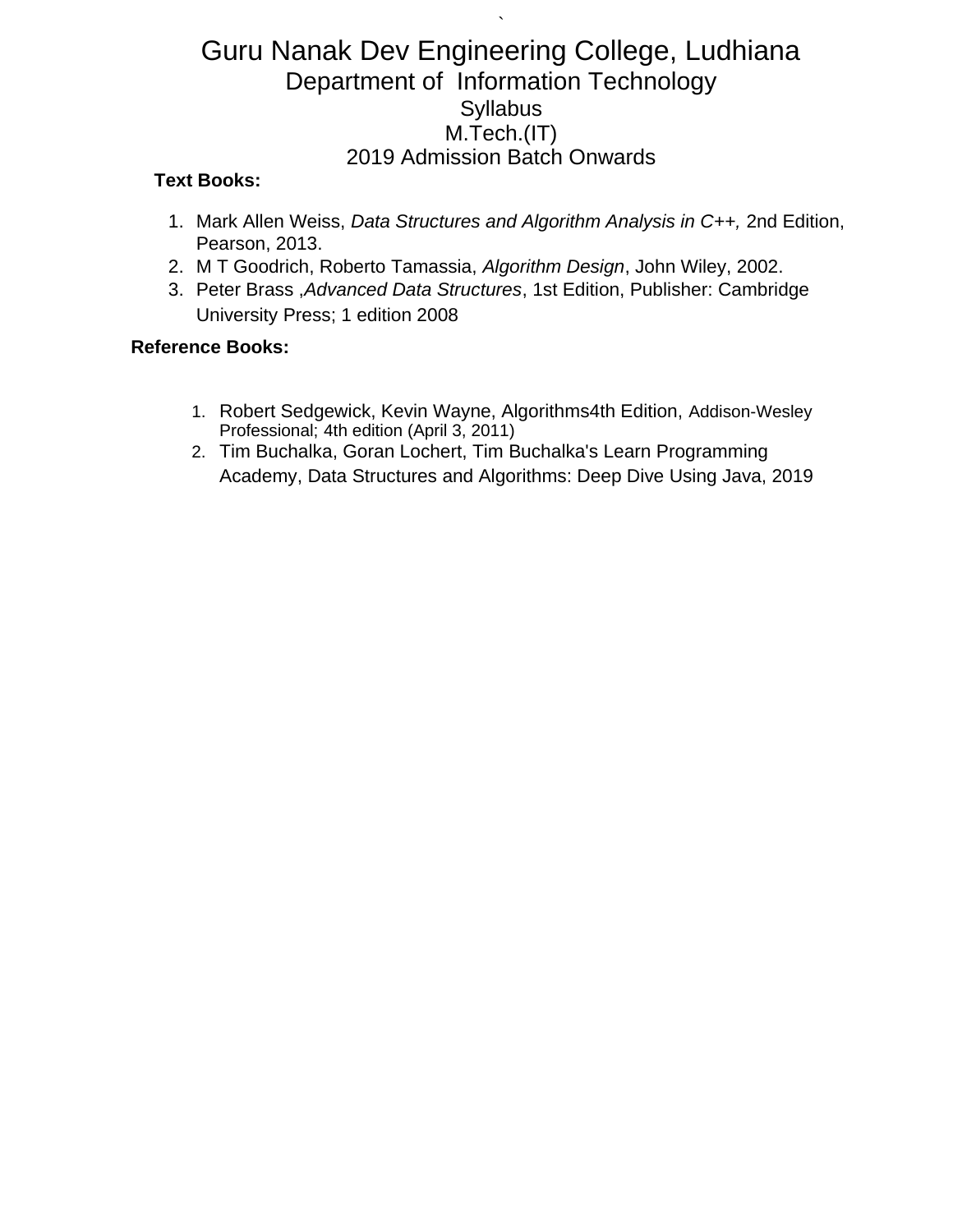`

### **Text Books:**

- 1. Mark Allen Weiss, *Data Structures and Algorithm Analysis in C++,* 2nd Edition, Pearson, 2013.
- 2. M T Goodrich, Roberto Tamassia, *Algorithm Design*, John Wiley, 2002.
- 3. Peter Brass ,*Advanced Data Structures*, 1st Edition, Publisher: Cambridge University Press; 1 edition 2008

### **Reference Books:**

- 1. Robert Sedgewick, Kevin Wayne, Algorithms4th Edition, Addison-Wesley Professional; 4th edition (April 3, 2011)
- 2. Tim Buchalka, Goran Lochert, Tim Buchalka's Learn Programming Academy, Data Structures and Algorithms: Deep Dive Using Java, 2019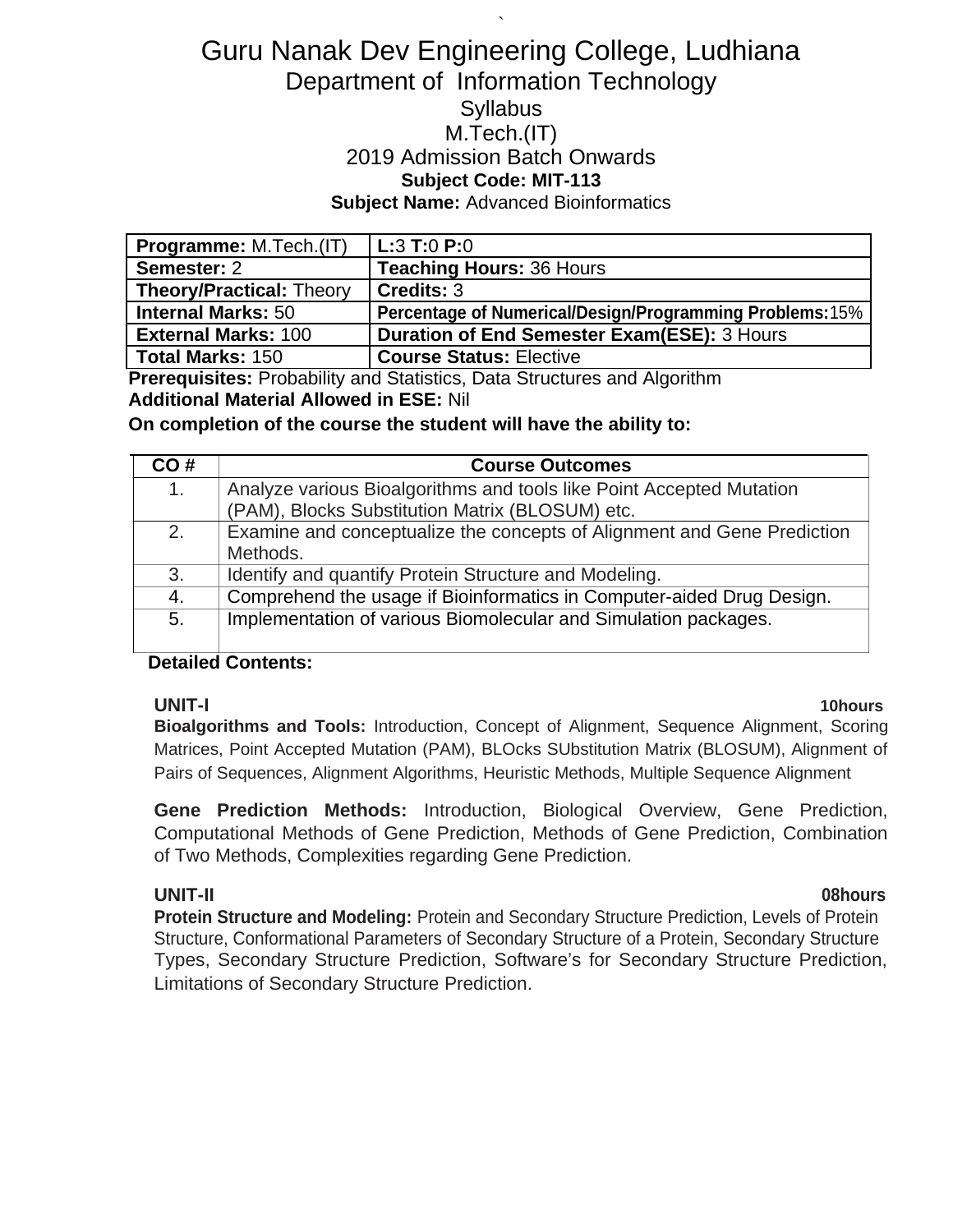## ` Guru Nanak Dev Engineering College, Ludhiana Department of Information Technology **Syllabus** M.Tech.(IT) 2019 Admission Batch Onwards **Subject Code: MIT-113 Subject Name:** Advanced Bioinformatics

| <b>Programme: M.Tech.(IT)</b>   | L:3 T:0 P:0                                             |
|---------------------------------|---------------------------------------------------------|
| Semester: 2                     | <b>Teaching Hours: 36 Hours</b>                         |
| <b>Theory/Practical: Theory</b> | Credits: 3                                              |
| <b>Internal Marks: 50</b>       | Percentage of Numerical/Design/Programming Problems:15% |
| <b>External Marks: 100</b>      | <b>Duration of End Semester Exam(ESE): 3 Hours</b>      |
| <b>Total Marks: 150</b>         | <b>Course Status: Elective</b>                          |

**Prerequisites:** Probability and Statistics, Data Structures and Algorithm **Additional Material Allowed in ESE:** Nil

**On completion of the course the student will have the ability to:**

| CO# | <b>Course Outcomes</b>                                                  |
|-----|-------------------------------------------------------------------------|
| 1.  | Analyze various Bioalgorithms and tools like Point Accepted Mutation    |
|     | (PAM), Blocks Substitution Matrix (BLOSUM) etc.                         |
| 2.  | Examine and conceptualize the concepts of Alignment and Gene Prediction |
|     | Methods.                                                                |
| 3.  | Identify and quantify Protein Structure and Modeling.                   |
| 4.  | Comprehend the usage if Bioinformatics in Computer-aided Drug Design.   |
| 5.  | Implementation of various Biomolecular and Simulation packages.         |
|     |                                                                         |

### **Detailed Contents:**

**UNIT-I 10hours Bioalgorithms and Tools:** Introduction, Concept of Alignment, Sequence Alignment, Scoring Matrices, Point Accepted Mutation (PAM), BLOcks SUbstitution Matrix (BLOSUM), Alignment of Pairs of Sequences, Alignment Algorithms, Heuristic Methods, Multiple Sequence Alignment

**Gene Prediction Methods:** Introduction, Biological Overview, Gene Prediction, Computational Methods of Gene Prediction, Methods of Gene Prediction, Combination of Two Methods, Complexities regarding Gene Prediction.

**UNIT-II 08hours Protein Structure and Modeling:** Protein and Secondary Structure Prediction, Levels of Protein Structure, Conformational Parameters of Secondary Structure of a Protein, Secondary Structure Types, Secondary Structure Prediction, Software's for Secondary Structure Prediction, Limitations of Secondary Structure Prediction.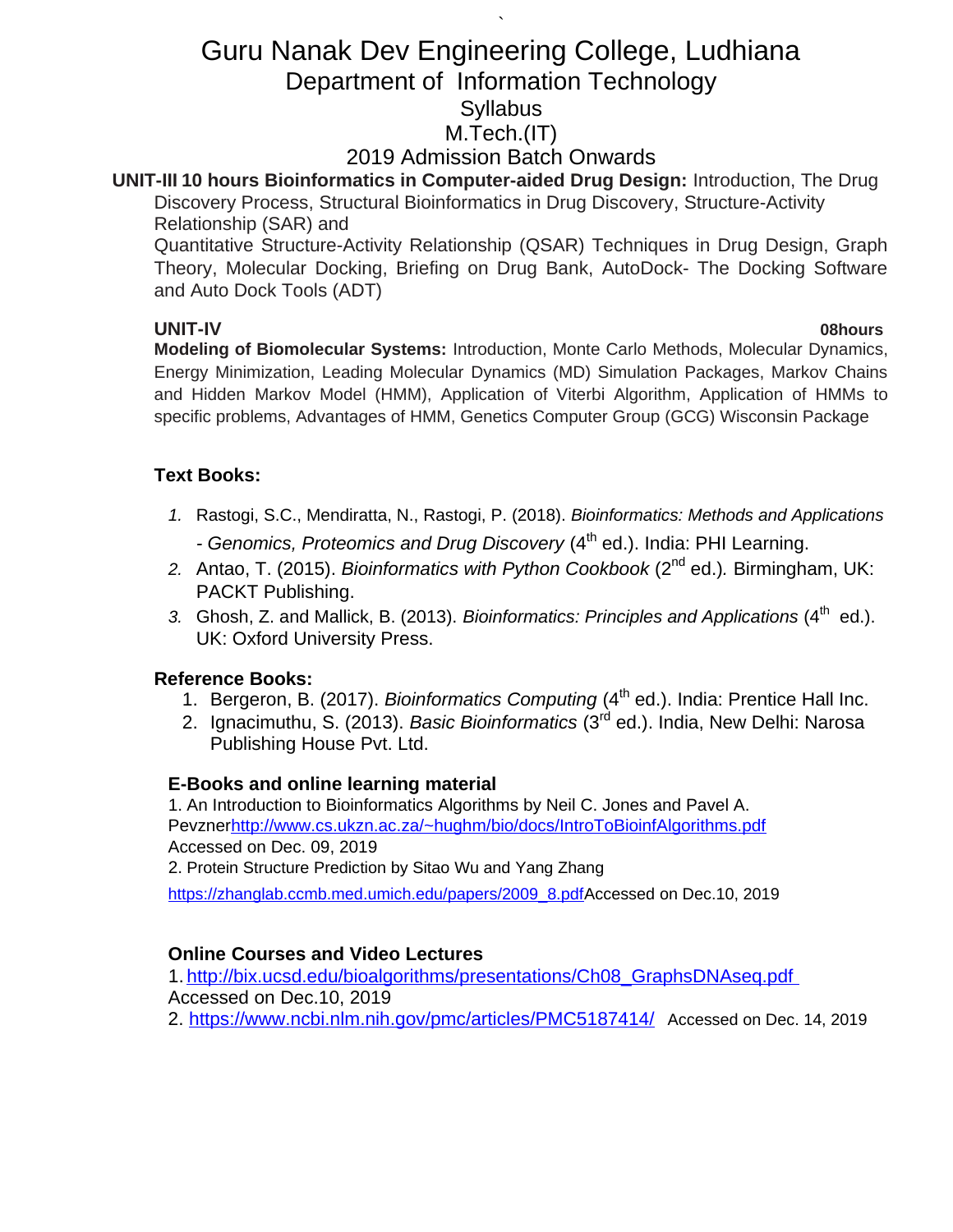# ` Guru Nanak Dev Engineering College, Ludhiana Department of Information Technology **Syllabus** M.Tech.(IT)

## 2019 Admission Batch Onwards

# **UNIT-III 10 hours Bioinformatics in Computer-aided Drug Design:** Introduction, The Drug

Discovery Process, Structural Bioinformatics in Drug Discovery, Structure-Activity Relationship (SAR) and

Quantitative Structure-Activity Relationship (QSAR) Techniques in Drug Design, Graph Theory, Molecular Docking, Briefing on Drug Bank, AutoDock- The Docking Software and Auto Dock Tools (ADT)

**UNIT-IV 08hours Modeling of Biomolecular Systems:** Introduction, Monte Carlo Methods, Molecular Dynamics, Energy Minimization, Leading Molecular Dynamics (MD) Simulation Packages, Markov Chains and Hidden Markov Model (HMM), Application of Viterbi Algorithm, Application of HMMs to specific problems, Advantages of HMM, Genetics Computer Group (GCG) Wisconsin Package

## **Text Books:**

- *1.* Rastogi, S.C., Mendiratta, N., Rastogi, P. (2018). *Bioinformatics: Methods and Applications* - Genomics, Proteomics and Drug Discovery (4<sup>th</sup> ed.). India: PHI Learning.
- *2.* Antao, T. (2015). *Bioinformatics with Python Cookbook* (2nd ed.)*.* Birmingham, UK: PACKT Publishing.
- 3. Ghosh, Z. and Mallick, B. (2013). *Bioinformatics: Principles and Applications* (4<sup>th</sup> ed.). UK: Oxford University Press.

## **Reference Books:**

- 1. Bergeron, B. (2017). *Bioinformatics Computing* (4<sup>th</sup> ed.). India: Prentice Hall Inc.
- 2. Ignacimuthu, S. (2013). *Basic Bioinformatics* (3rd ed.). India, New Delhi: Narosa Publishing House Pvt. Ltd.

## **E-Books and online learning material**

1. An Introduction to Bioinformatics Algorithms by Neil C. Jones and Pavel A. Pevzne[rhttp://www.cs.ukzn.ac.za/~hughm/bio/docs/IntroToBioinfAlgorithms.pdf](http://www.cs.ukzn.ac.za/~hughm/bio/docs/IntroToBioinfAlgorithms.pdf) Accessed on Dec. 09, 2019

2. Protein Structure Prediction by Sitao Wu and Yang Zhang

[https://zhanglab.ccmb.med.umich.edu/papers/2009\\_8.pdfA](https://zhanglab.ccmb.med.umich.edu/papers/2009_8.pdf)ccessed on Dec.10, 2019

## **Online Courses and Video Lectures**

1. [http://bix.ucsd.edu/bioalgorithms/presentations/Ch08\\_GraphsDNAseq.pdf](http://bix.ucsd.edu/bioalgorithms/presentations/Ch08_GraphsDNAseq.pdf) Accessed on Dec.10, 2019 2.<https://www.ncbi.nlm.nih.gov/pmc/articles/PMC5187414/> Accessed on Dec. 14, 2019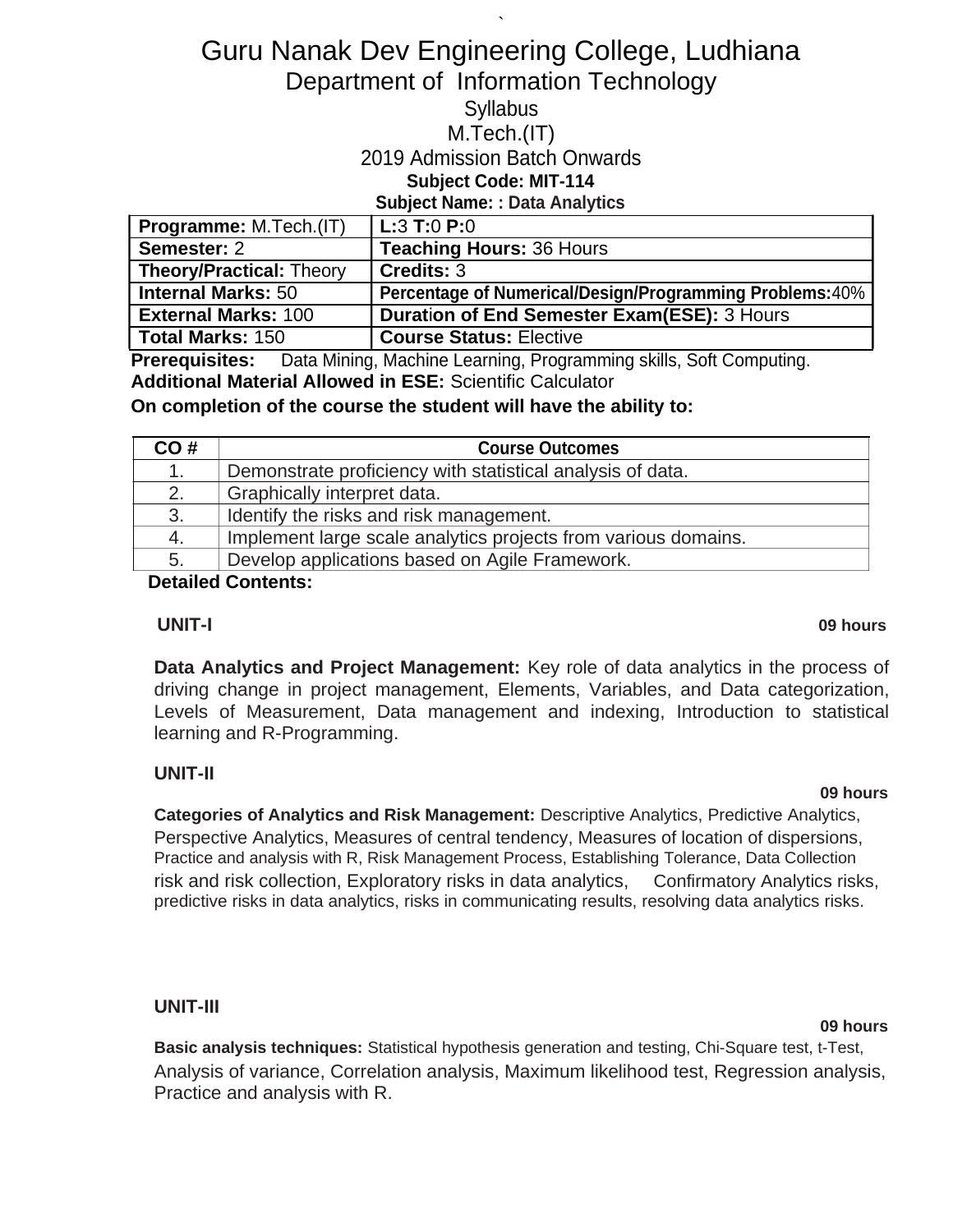# Guru Nanak Dev Engineering College, Ludhiana Department of Information Technology

`

## **Syllabus**

#### M.Tech.(IT)

### 2019 Admission Batch Onwards

## **Subject Code: MIT-114**

**Subject Name: : Data Analytics**

| <b>Programme:</b> M.Tech.(IT)   | L:3 T:0 P:0                                                     |
|---------------------------------|-----------------------------------------------------------------|
| Semester: 2                     | <b>Teaching Hours: 36 Hours</b>                                 |
| <b>Theory/Practical: Theory</b> | Credits: 3                                                      |
| <b>Internal Marks: 50</b>       | <b>Percentage of Numerical/Design/Programming Problems: 40%</b> |
| <b>External Marks: 100</b>      | <b>Duration of End Semester Exam(ESE): 3 Hours</b>              |
| <b>Total Marks: 150</b>         | <b>Course Status: Elective</b>                                  |

**Prerequisites:** Data Mining, Machine Learning, Programming skills, Soft Computing. **Additional Material Allowed in ESE:** Scientific Calculator

**On completion of the course the student will have the ability to:**

| CO# | <b>Course Outcomes</b>                                         |  |
|-----|----------------------------------------------------------------|--|
| 1.  | Demonstrate proficiency with statistical analysis of data.     |  |
| 2.  | Graphically interpret data.                                    |  |
| 3.  | Identify the risks and risk management.                        |  |
| 4.  | Implement large scale analytics projects from various domains. |  |
| 5.  | Develop applications based on Agile Framework.                 |  |

**Detailed Contents:**

#### **UNIT-I 09 hours**

**Data Analytics and Project Management:** Key role of data analytics in the process of driving change in project management, Elements, Variables, and Data categorization, Levels of Measurement, Data management and indexing, Introduction to statistical learning and R-Programming.

## **UNIT-II**

#### **09 hours**

**Categories of Analytics and Risk Management:** Descriptive Analytics, Predictive Analytics, Perspective Analytics, Measures of central tendency, Measures of location of dispersions, Practice and analysis with R, Risk Management Process, Establishing Tolerance, Data Collection risk and risk collection, Exploratory risks in data analytics, Confirmatory Analytics risks, predictive risks in data analytics, risks in communicating results, resolving data analytics risks.

### **UNIT-III**

#### **09 hours**

**Basic analysis techniques:** Statistical hypothesis generation and testing, Chi-Square test, t-Test, Analysis of variance, Correlation analysis, Maximum likelihood test, Regression analysis, Practice and analysis with R.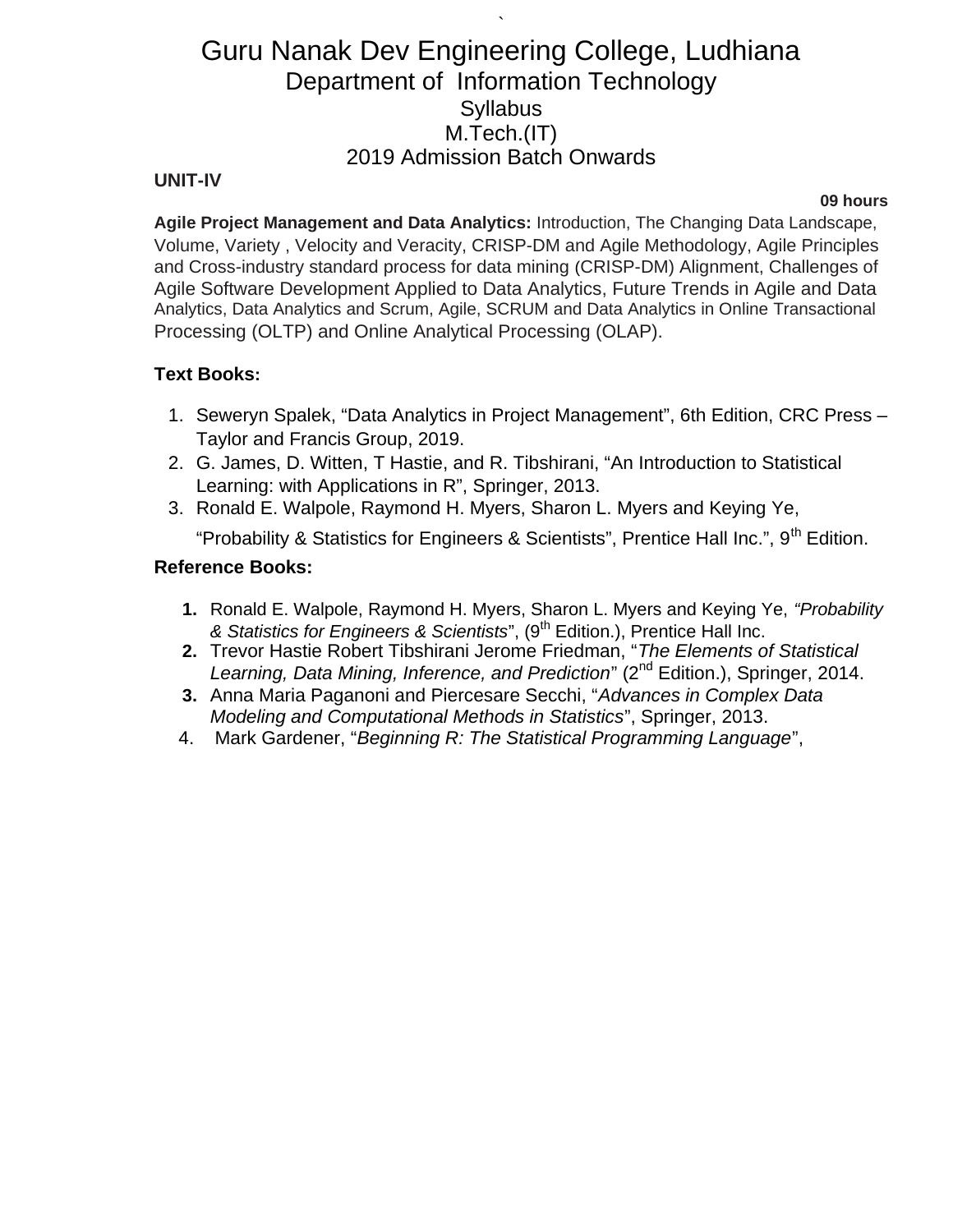`

#### **UNIT-IV**

#### **09 hours**

**Agile Project Management and Data Analytics:** Introduction, The Changing Data Landscape, Volume, Variety , Velocity and Veracity, CRISP-DM and Agile Methodology, Agile Principles and Cross-industry standard process for data mining (CRISP-DM) Alignment, Challenges of Agile Software Development Applied to Data Analytics, Future Trends in Agile and Data Analytics, Data Analytics and Scrum, Agile, SCRUM and Data Analytics in Online Transactional Processing (OLTP) and Online Analytical Processing (OLAP).

### **Text Books:**

- 1. Seweryn Spalek, "Data Analytics in Project Management", 6th Edition, CRC Press Taylor and Francis Group, 2019.
- 2. G. James, D. Witten, T Hastie, and R. Tibshirani, "An Introduction to Statistical Learning: with Applications in R", Springer, 2013.
- 3. Ronald E. Walpole, Raymond H. Myers, Sharon L. Myers and Keying Ye,

"Probability & Statistics for Engineers & Scientists", Prentice Hall Inc.", 9<sup>th</sup> Edition.

#### **Reference Books:**

- **1.** Ronald E. Walpole, Raymond H. Myers, Sharon L. Myers and Keying Ye, *"Probability & Statistics for Engineers & Scientists*", (9th Edition.), Prentice Hall Inc.
- **2.** Trevor Hastie Robert Tibshirani Jerome Friedman, "*The Elements of Statistical*  Learning, Data Mining, Inference, and Prediction" (2<sup>nd</sup> Edition.), Springer, 2014.
- **3.** Anna Maria Paganoni and Piercesare Secchi, "*Advances in Complex Data Modeling and Computational Methods in Statistics*", Springer, 2013.
- 4. Mark Gardener, "*Beginning R: The Statistical Programming Language*",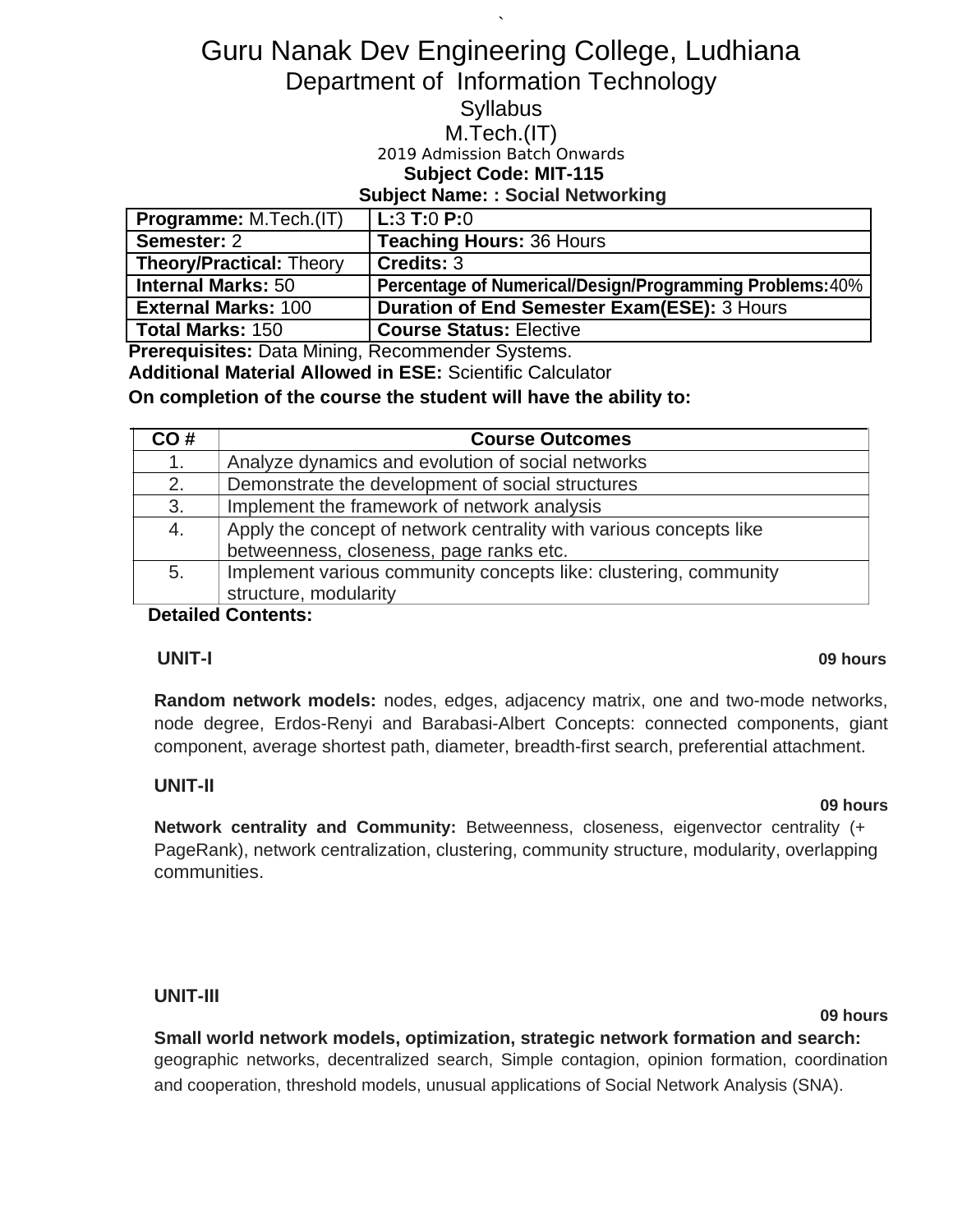# Guru Nanak Dev Engineering College, Ludhiana Department of Information Technology

`

## **Syllabus**

### M.Tech.(IT)

## 2019 Admission Batch Onwards

## **Subject Code: MIT-115**

#### **Subject Name: : Social Networking**

| <b>Programme: M.Tech.(IT)</b>   | L:3 T:0 P:0                                              |
|---------------------------------|----------------------------------------------------------|
| Semester: 2                     | <b>Teaching Hours: 36 Hours</b>                          |
| <b>Theory/Practical: Theory</b> | l Credits: 3                                             |
| <b>Internal Marks: 50</b>       | Percentage of Numerical/Design/Programming Problems: 40% |
| <b>External Marks: 100</b>      | <b>Duration of End Semester Exam(ESE): 3 Hours</b>       |
| <b>Total Marks: 150</b>         | <b>Course Status: Elective</b>                           |

**Prerequisites:** Data Mining, Recommender Systems.

**Additional Material Allowed in ESE:** Scientific Calculator

**On completion of the course the student will have the ability to:**

| CO# | <b>Course Outcomes</b>                                             |
|-----|--------------------------------------------------------------------|
| 1.  | Analyze dynamics and evolution of social networks                  |
| 2.  | Demonstrate the development of social structures                   |
| 3.  | Implement the framework of network analysis                        |
| 4.  | Apply the concept of network centrality with various concepts like |
|     | betweenness, closeness, page ranks etc.                            |
| 5.  | Implement various community concepts like: clustering, community   |
|     | structure, modularity                                              |

### **Detailed Contents:**

#### **UNIT-I 09 hours**

**Random network models:** nodes, edges, adjacency matrix, one and two-mode networks, node degree, Erdos-Renyi and Barabasi-Albert Concepts: connected components, giant component, average shortest path, diameter, breadth-first search, preferential attachment.

### **UNIT-II**

#### **09 hours**

**Network centrality and Community:** Betweenness, closeness, eigenvector centrality (+ PageRank), network centralization, clustering, community structure, modularity, overlapping communities.

#### **UNIT-III**

#### **09 hours**

**Small world network models, optimization, strategic network formation and search:** geographic networks, decentralized search, Simple contagion, opinion formation, coordination and cooperation, threshold models, unusual applications of Social Network Analysis (SNA).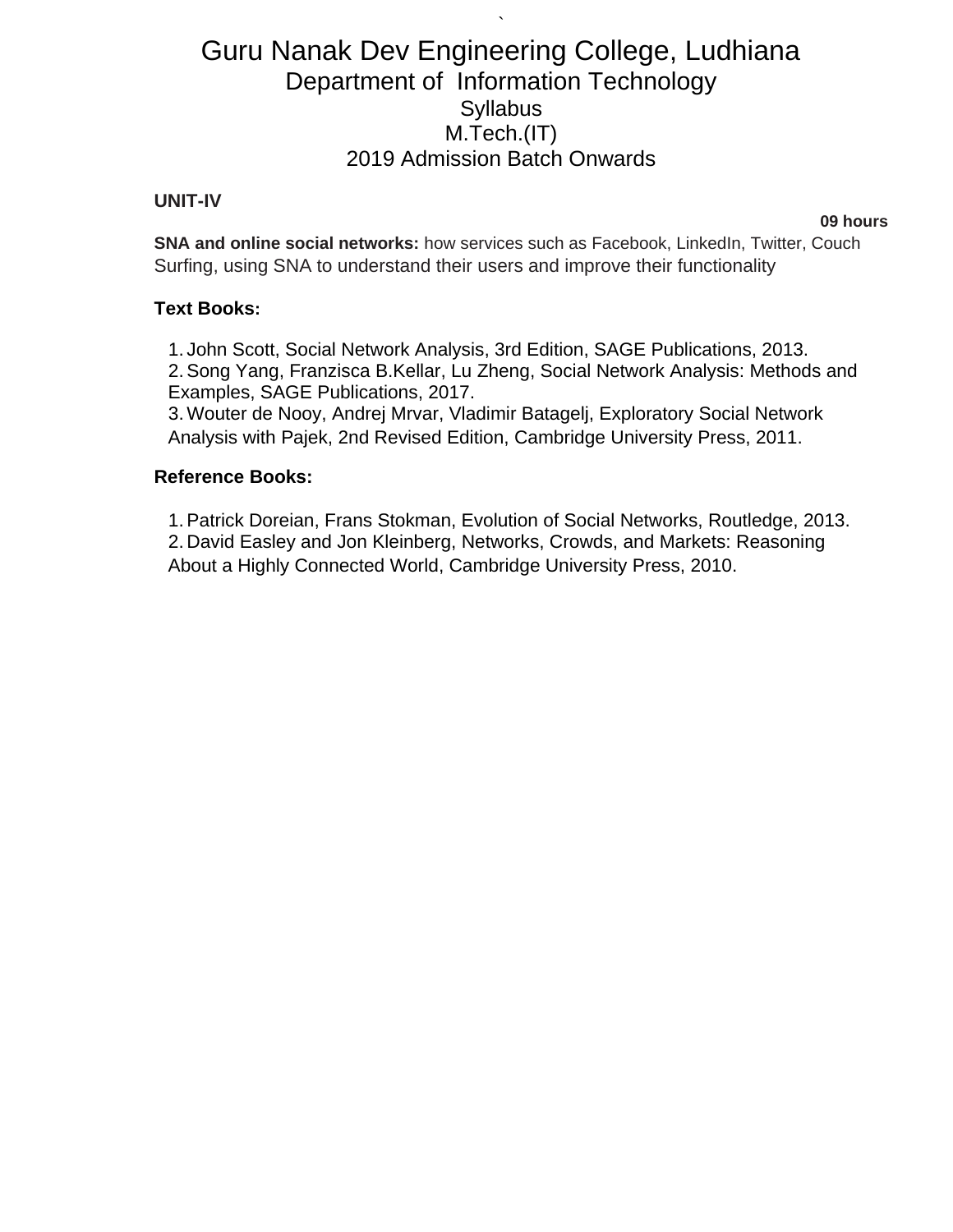`

#### **UNIT-IV**

**09 hours**

**SNA and online social networks:** how services such as Facebook, LinkedIn, Twitter, Couch Surfing, using SNA to understand their users and improve their functionality

#### **Text Books:**

1. John Scott, Social Network Analysis, 3rd Edition, SAGE Publications, 2013. 2.Song Yang, Franzisca B.Kellar, Lu Zheng, Social Network Analysis: Methods and Examples, SAGE Publications, 2017.

3. Wouter de Nooy, Andrej Mrvar, Vladimir Batagelj, Exploratory Social Network Analysis with Pajek, 2nd Revised Edition, Cambridge University Press, 2011.

#### **Reference Books:**

1.Patrick Doreian, Frans Stokman, Evolution of Social Networks, Routledge, 2013. 2. David Easley and Jon Kleinberg, Networks, Crowds, and Markets: Reasoning About a Highly Connected World, Cambridge University Press, 2010.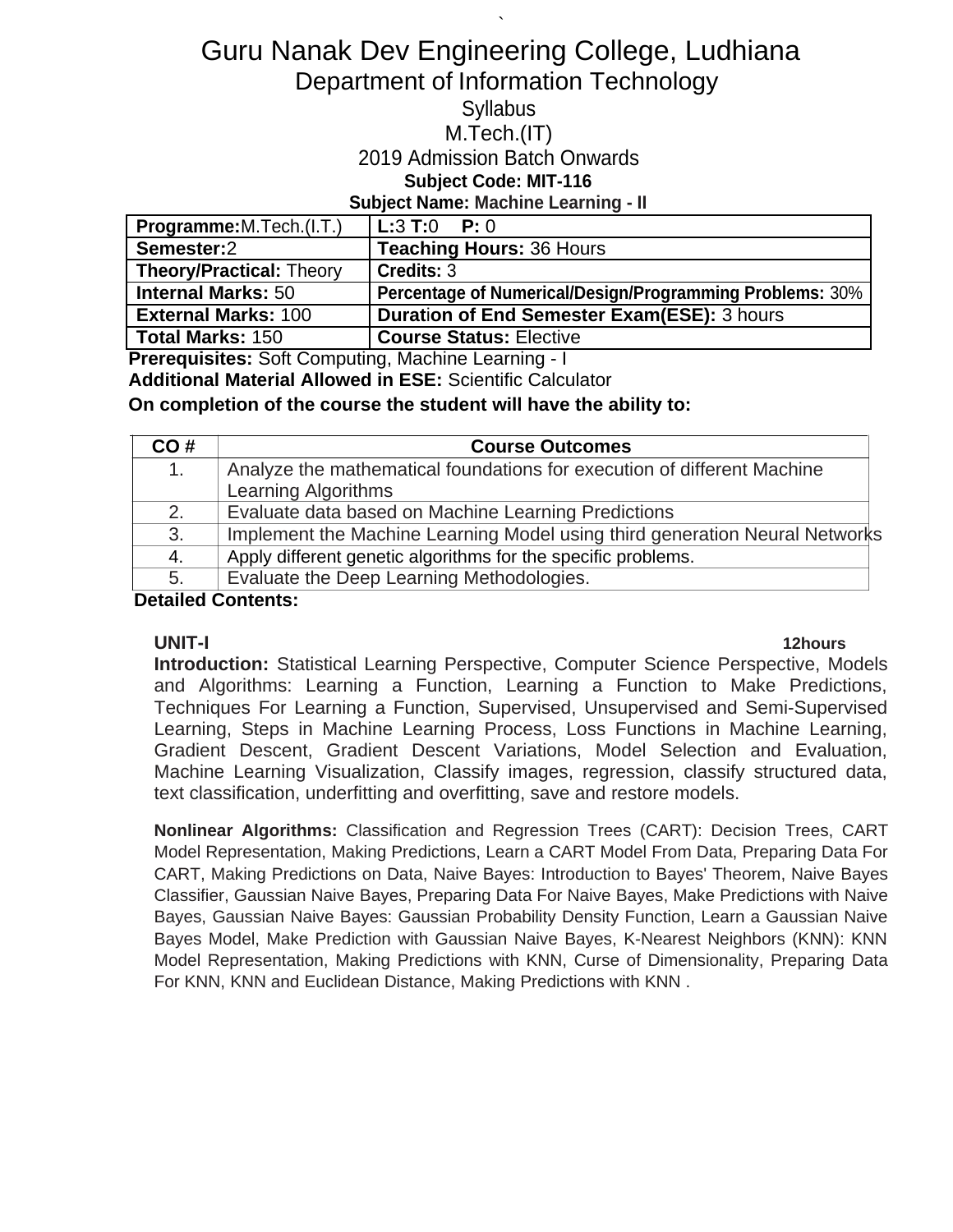# Guru Nanak Dev Engineering College, Ludhiana Department of Information Technology

`

## **Syllabus**

### M.Tech.(IT)

## 2019 Admission Batch Onwards

### **Subject Code: MIT-116**

#### **Subject Name: Machine Learning - II**

| Programme: M. Tech. (I.T.)      | $\mathsf{L}:3\mathsf{T}:0\quad\mathsf{P}:0$              |
|---------------------------------|----------------------------------------------------------|
| Semester:2                      | <b>Teaching Hours: 36 Hours</b>                          |
| <b>Theory/Practical: Theory</b> | Credits: 3                                               |
| <b>Internal Marks: 50</b>       | Percentage of Numerical/Design/Programming Problems: 30% |
| <b>External Marks: 100</b>      | <b>Duration of End Semester Exam(ESE): 3 hours</b>       |
| Total Marks: 150                | <b>Course Status: Elective</b>                           |

**Prerequisites:** Soft Computing, Machine Learning - I

**Additional Material Allowed in ESE:** Scientific Calculator

**On completion of the course the student will have the ability to:**

| <b>Course Outcomes</b>                                                      |
|-----------------------------------------------------------------------------|
| Analyze the mathematical foundations for execution of different Machine     |
| <b>Learning Algorithms</b>                                                  |
| Evaluate data based on Machine Learning Predictions                         |
| Implement the Machine Learning Model using third generation Neural Networks |
| Apply different genetic algorithms for the specific problems.               |
| Evaluate the Deep Learning Methodologies.                                   |
|                                                                             |

**Detailed Contents:**

**UNIT-I 12hours Introduction:** Statistical Learning Perspective, Computer Science Perspective, Models and Algorithms: Learning a Function, Learning a Function to Make Predictions, Techniques For Learning a Function, Supervised, Unsupervised and Semi-Supervised Learning, Steps in Machine Learning Process, Loss Functions in Machine Learning, Gradient Descent, Gradient Descent Variations, Model Selection and Evaluation, Machine Learning Visualization, Classify images, regression, classify structured data, text classification, underfitting and overfitting, save and restore models.

**Nonlinear Algorithms:** Classification and Regression Trees (CART): Decision Trees, CART Model Representation, Making Predictions, Learn a CART Model From Data, Preparing Data For CART, Making Predictions on Data, Naive Bayes: Introduction to Bayes' Theorem, Naive Bayes Classifier, Gaussian Naive Bayes, Preparing Data For Naive Bayes, Make Predictions with Naive Bayes, Gaussian Naive Bayes: Gaussian Probability Density Function, Learn a Gaussian Naive Bayes Model, Make Prediction with Gaussian Naive Bayes, K-Nearest Neighbors (KNN): KNN Model Representation, Making Predictions with KNN, Curse of Dimensionality, Preparing Data For KNN, KNN and Euclidean Distance, Making Predictions with KNN .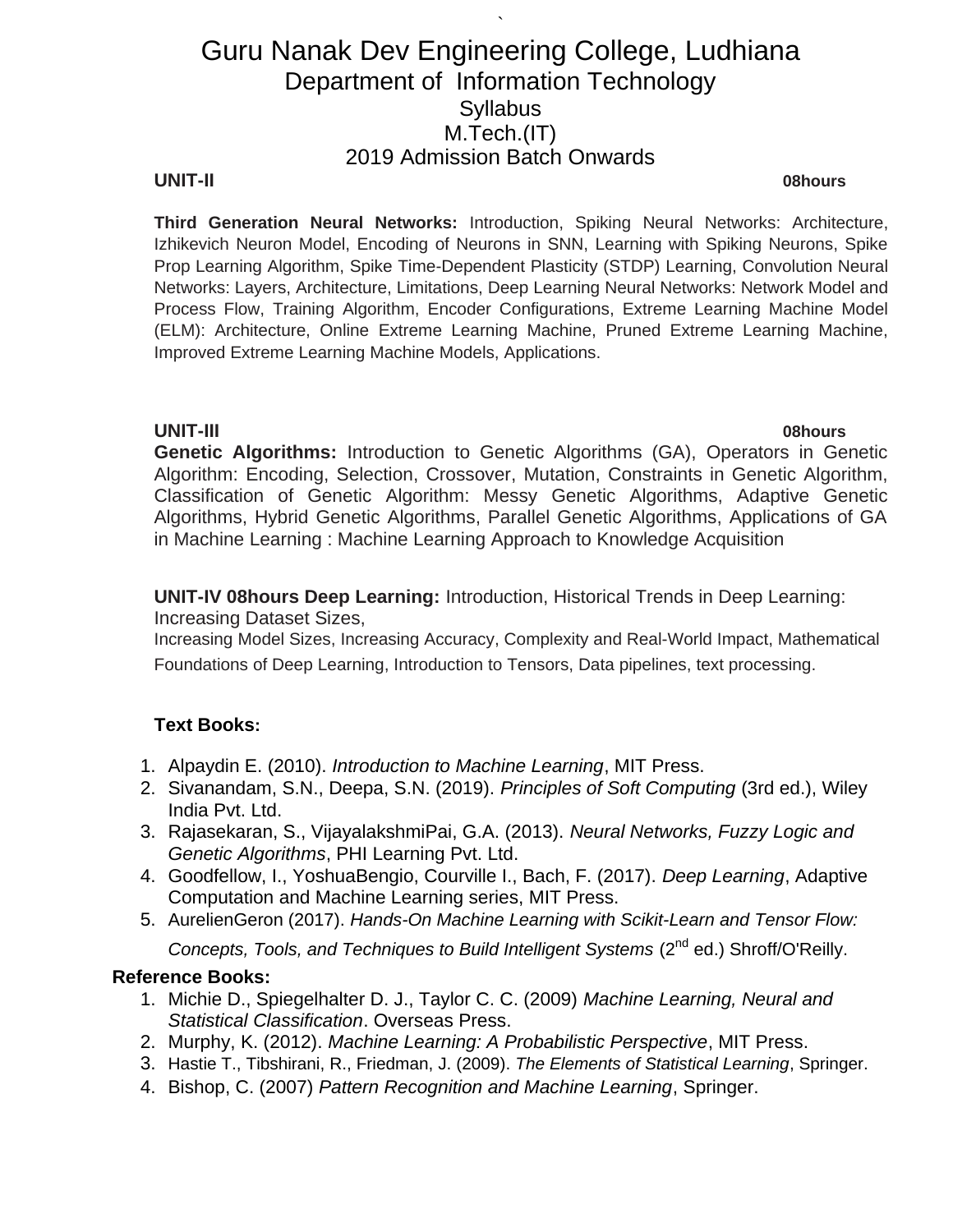`

#### **UNIT-II 08hours**

**Third Generation Neural Networks:** Introduction, Spiking Neural Networks: Architecture, Izhikevich Neuron Model, Encoding of Neurons in SNN, Learning with Spiking Neurons, Spike Prop Learning Algorithm, Spike Time-Dependent Plasticity (STDP) Learning, Convolution Neural Networks: Layers, Architecture, Limitations, Deep Learning Neural Networks: Network Model and Process Flow, Training Algorithm, Encoder Configurations, Extreme Learning Machine Model (ELM): Architecture, Online Extreme Learning Machine, Pruned Extreme Learning Machine, Improved Extreme Learning Machine Models, Applications.

**UNIT-III 08hours Genetic Algorithms:** Introduction to Genetic Algorithms (GA), Operators in Genetic Algorithm: Encoding, Selection, Crossover, Mutation, Constraints in Genetic Algorithm, Classification of Genetic Algorithm: Messy Genetic Algorithms, Adaptive Genetic Algorithms, Hybrid Genetic Algorithms, Parallel Genetic Algorithms, Applications of GA in Machine Learning : Machine Learning Approach to Knowledge Acquisition

**UNIT-IV 08hours Deep Learning:** Introduction, Historical Trends in Deep Learning: Increasing Dataset Sizes,

Increasing Model Sizes, Increasing Accuracy, Complexity and Real-World Impact, Mathematical Foundations of Deep Learning, Introduction to Tensors, Data pipelines, text processing.

### **Text Books:**

- 1. Alpaydin E. (2010). *Introduction to Machine Learning*, MIT Press.
- 2. Sivanandam, S.N., Deepa, S.N. (2019). *Principles of Soft Computing* (3rd ed.), Wiley India Pvt. Ltd.
- 3. Rajasekaran, S., VijayalakshmiPai, G.A. (2013). *Neural Networks, Fuzzy Logic and Genetic Algorithms*, PHI Learning Pvt. Ltd.
- 4. Goodfellow, I., YoshuaBengio, Courville I., Bach, F. (2017). *Deep Learning*, Adaptive Computation and Machine Learning series, MIT Press.
- 5. AurelienGeron (2017). *Hands-On Machine Learning with Scikit-Learn and Tensor Flow:*

*Concepts, Tools, and Techniques to Build Intelligent Systems (2<sup>nd</sup> ed.) Shroff/O'Reilly.* 

#### **Reference Books:**

- 1. Michie D., Spiegelhalter D. J., Taylor C. C. (2009) *Machine Learning, Neural and Statistical Classification*. Overseas Press.
- 2. Murphy, K. (2012). *Machine Learning: A Probabilistic Perspective*, MIT Press.
- 3. Hastie T., Tibshirani, R., Friedman, J. (2009). *The Elements of Statistical Learning*, Springer.
- 4. Bishop, C. (2007) *Pattern Recognition and Machine Learning*, Springer.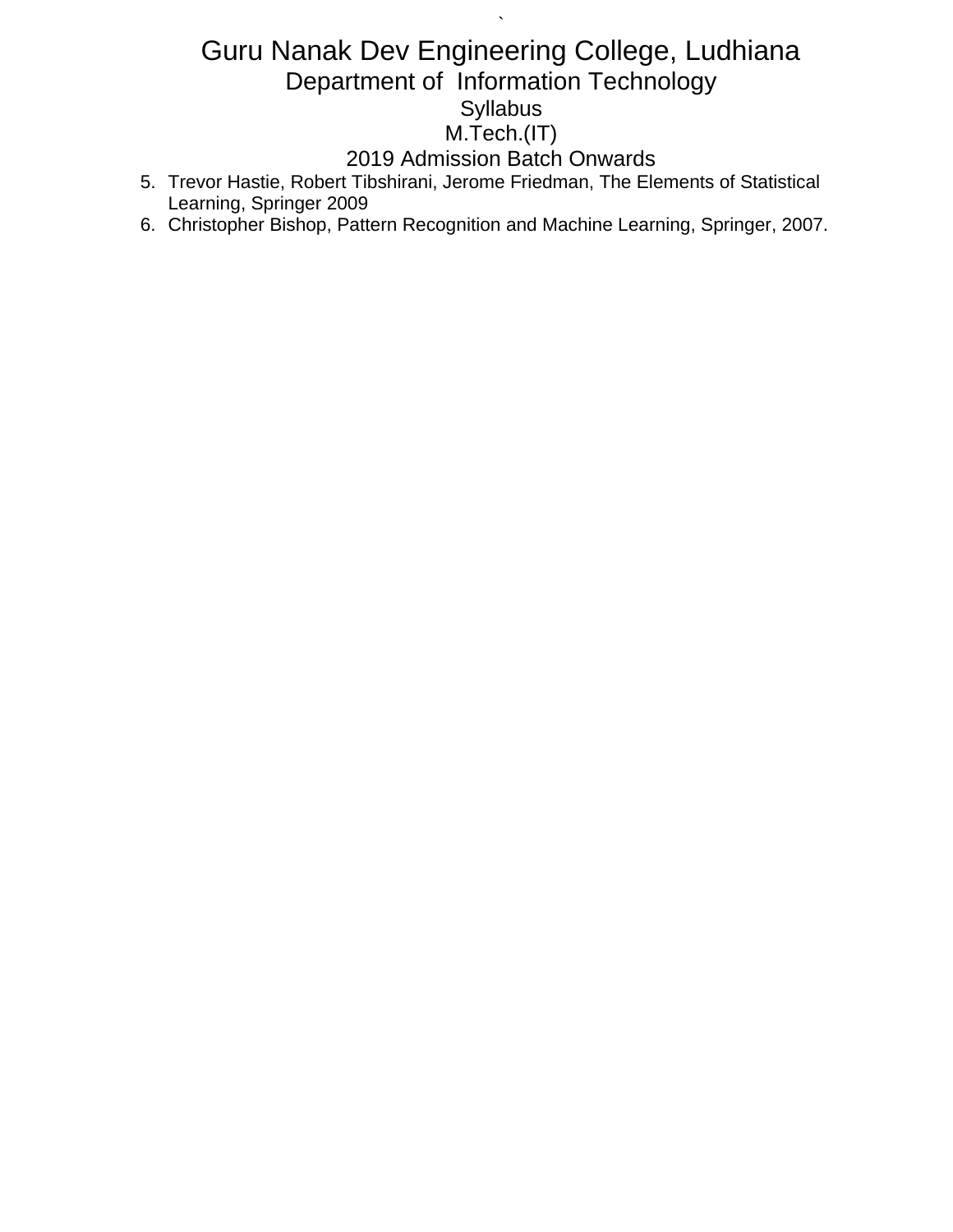# Guru Nanak Dev Engineering College, Ludhiana Department of Information Technology **Syllabus** M.Tech.(IT)

`

# 2019 Admission Batch Onwards

- 5. Trevor Hastie, Robert Tibshirani, Jerome Friedman, The Elements of Statistical Learning, Springer 2009
- 6. Christopher Bishop, Pattern Recognition and Machine Learning, Springer, 2007.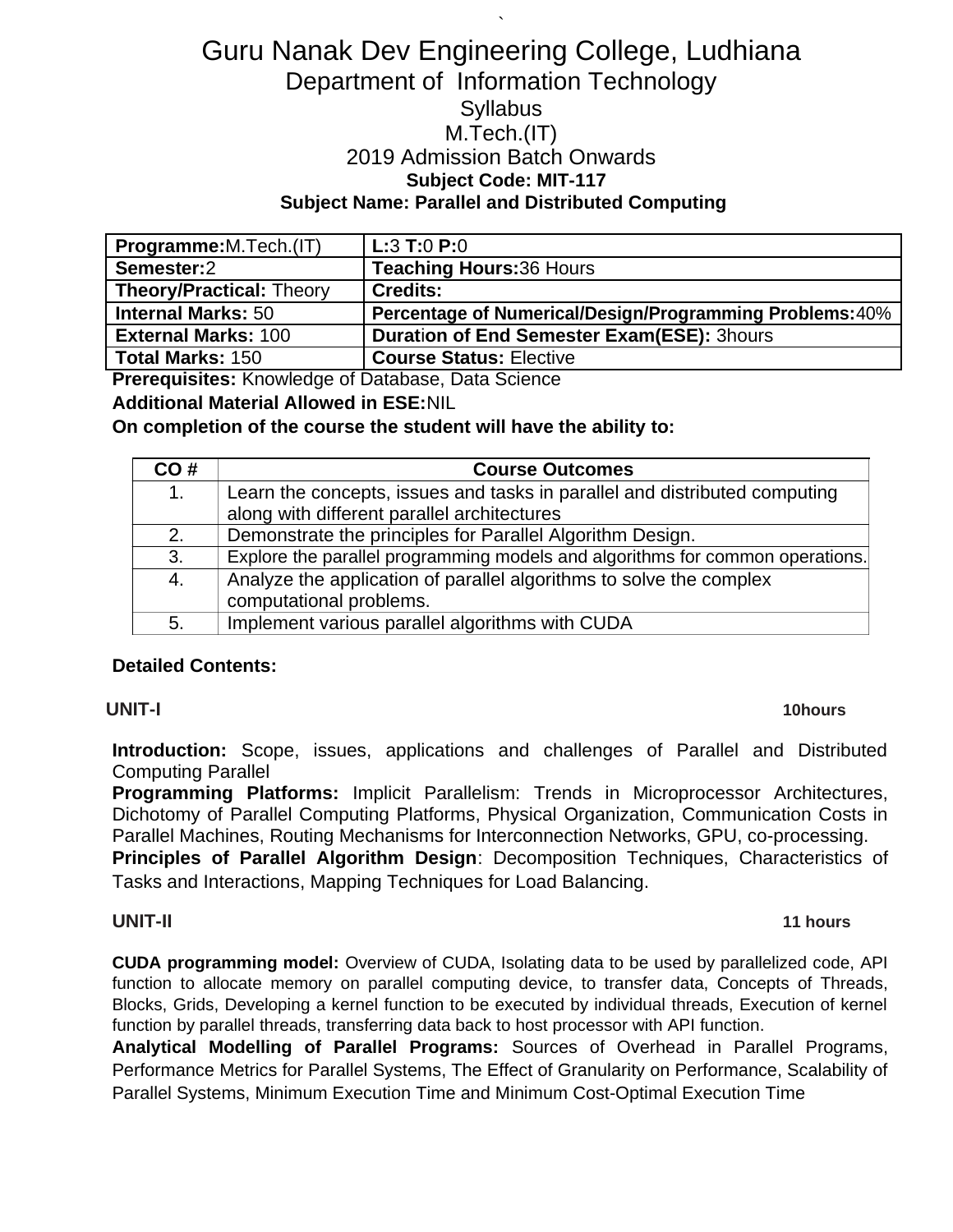# Guru Nanak Dev Engineering College, Ludhiana Department of Information Technology **Syllabus** M.Tech.(IT) 2019 Admission Batch Onwards **Subject Code: MIT-117 Subject Name: Parallel and Distributed Computing**

`

| Programme:M.Tech.(IT)           | L:3 T:0 P:0                                              |
|---------------------------------|----------------------------------------------------------|
| Semester:2                      | <b>Teaching Hours: 36 Hours</b>                          |
| <b>Theory/Practical: Theory</b> | <b>Credits:</b>                                          |
| <b>Internal Marks: 50</b>       | Percentage of Numerical/Design/Programming Problems: 40% |
| <b>External Marks: 100</b>      | <b>Duration of End Semester Exam(ESE): 3hours</b>        |
| <b>Total Marks: 150</b>         | <b>Course Status: Elective</b>                           |

**Prerequisites:** Knowledge of Database, Data Science

**Additional Material Allowed in ESE:**NIL

#### **On completion of the course the student will have the ability to:**

| CO# | <b>Course Outcomes</b>                                                        |
|-----|-------------------------------------------------------------------------------|
| 1.  | Learn the concepts, issues and tasks in parallel and distributed computing    |
|     | along with different parallel architectures                                   |
| 2.  | Demonstrate the principles for Parallel Algorithm Design.                     |
| 3.  | Explore the parallel programming models and algorithms for common operations. |
| 4.  | Analyze the application of parallel algorithms to solve the complex           |
|     | computational problems.                                                       |
| 5.  | Implement various parallel algorithms with CUDA                               |

### **Detailed Contents:**

#### **UNIT-I 10hours**

**Introduction:** Scope, issues, applications and challenges of Parallel and Distributed Computing Parallel

**Programming Platforms:** Implicit Parallelism: Trends in Microprocessor Architectures, Dichotomy of Parallel Computing Platforms, Physical Organization, Communication Costs in Parallel Machines, Routing Mechanisms for Interconnection Networks, GPU, co-processing.

**Principles of Parallel Algorithm Design**: Decomposition Techniques, Characteristics of Tasks and Interactions, Mapping Techniques for Load Balancing.

#### **UNIT-II 11 hours**

**CUDA programming model:** Overview of CUDA, Isolating data to be used by parallelized code, API function to allocate memory on parallel computing device, to transfer data, Concepts of Threads, Blocks, Grids, Developing a kernel function to be executed by individual threads, Execution of kernel function by parallel threads, transferring data back to host processor with API function.

**Analytical Modelling of Parallel Programs:** Sources of Overhead in Parallel Programs, Performance Metrics for Parallel Systems, The Effect of Granularity on Performance, Scalability of Parallel Systems, Minimum Execution Time and Minimum Cost-Optimal Execution Time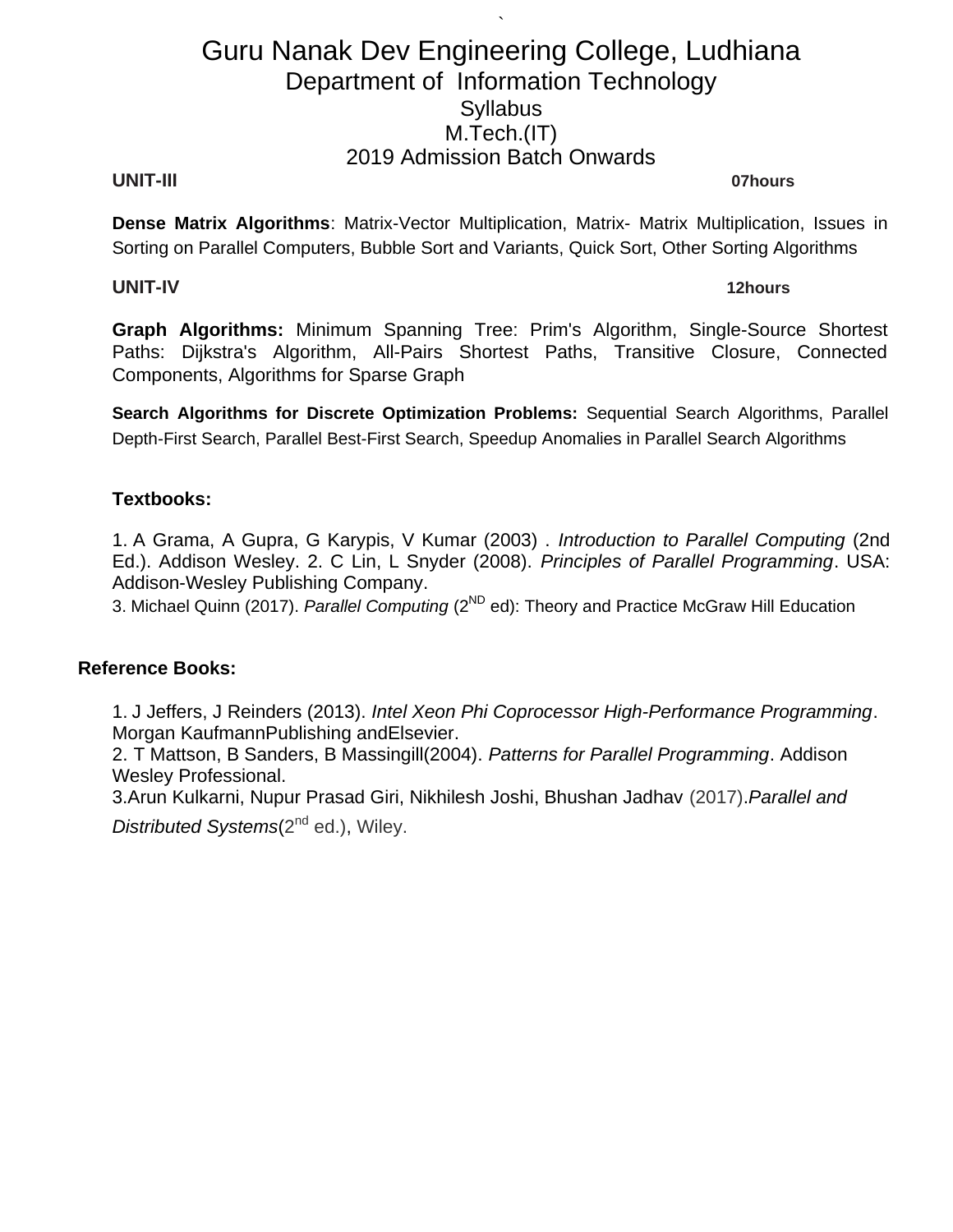`

#### **UNIT-III 07hours**

**Dense Matrix Algorithms**: Matrix-Vector Multiplication, Matrix- Matrix Multiplication, Issues in Sorting on Parallel Computers, Bubble Sort and Variants, Quick Sort, Other Sorting Algorithms

#### **UNIT-IV 12hours**

**Graph Algorithms:** Minimum Spanning Tree: Prim's Algorithm, Single-Source Shortest Paths: Dijkstra's Algorithm, All-Pairs Shortest Paths, Transitive Closure, Connected Components, Algorithms for Sparse Graph

**Search Algorithms for Discrete Optimization Problems:** Sequential Search Algorithms, Parallel Depth-First Search, Parallel Best-First Search, Speedup Anomalies in Parallel Search Algorithms

#### **Textbooks:**

1. A Grama, A Gupra, G Karypis, V Kumar (2003) . *Introduction to Parallel Computing* (2nd Ed.). Addison Wesley. 2. C Lin, L Snyder (2008). *Principles of Parallel Programming*. USA: Addison-Wesley Publishing Company.

3. Michael Quinn (2017). *Parallel Computing* (2<sup>ND</sup> ed): Theory and Practice McGraw Hill Education

#### **Reference Books:**

1. J Jeffers, J Reinders (2013). *Intel Xeon Phi Coprocessor High-Performance Programming*. Morgan KaufmannPublishing andElsevier.

2. T Mattson, B Sanders, B Massingill(2004). *Patterns for Parallel Programming*. Addison Wesley Professional.

3.Arun Kulkarni, Nupur Prasad Giri, Nikhilesh Joshi, Bhushan Jadhav (2017).*Parallel and Distributed Systems*(2<sup>nd</sup> ed.), Wiley.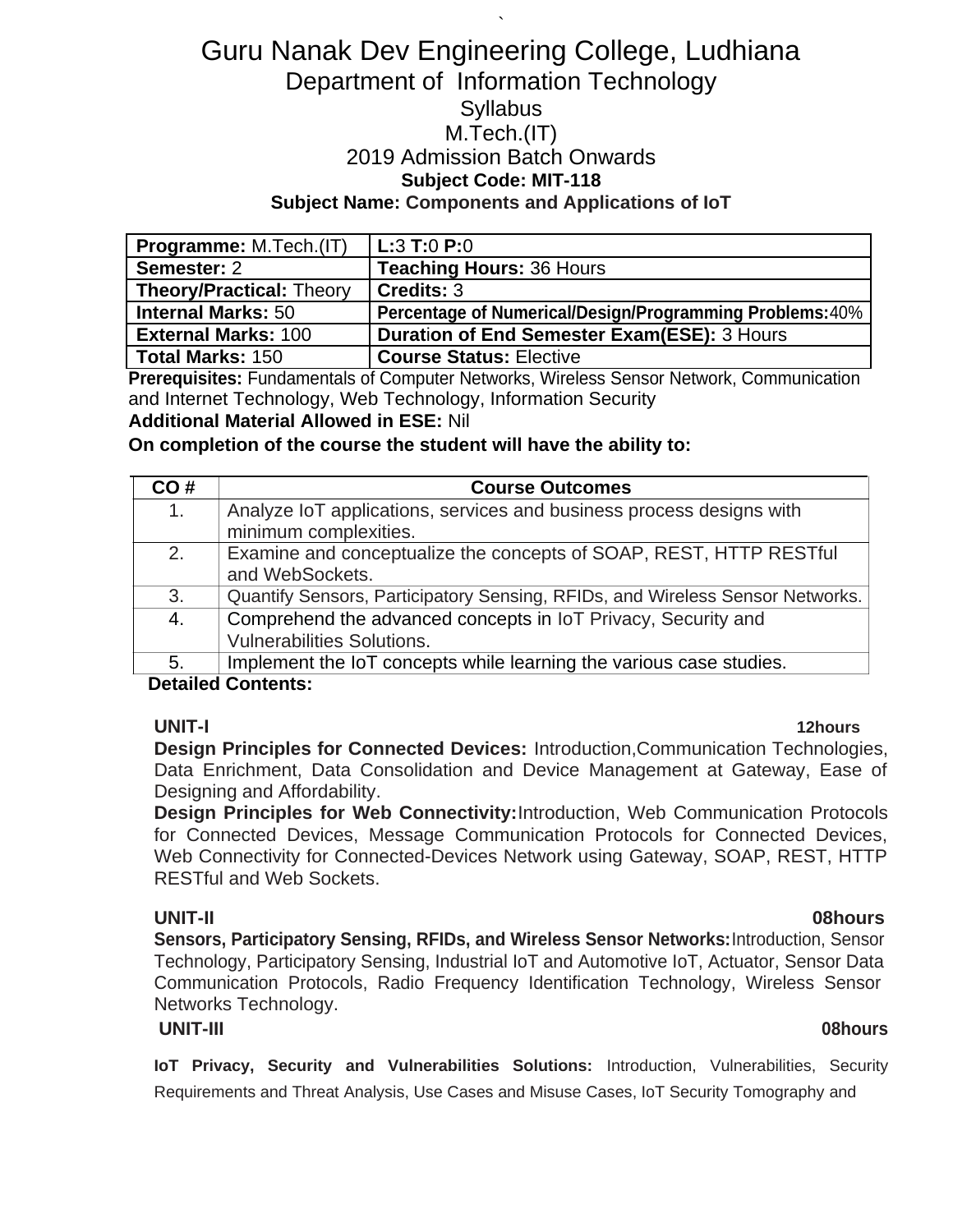# Guru Nanak Dev Engineering College, Ludhiana Department of Information Technology **Syllabus** M.Tech.(IT) 2019 Admission Batch Onwards **Subject Code: MIT-118 Subject Name: Components and Applications of IoT**

`

| <b>Programme:</b> M.Tech.(IT)   | $ $ L:3 T:0 P:0 $\,$                                     |
|---------------------------------|----------------------------------------------------------|
| Semester: 2                     | <b>Teaching Hours: 36 Hours</b>                          |
| <b>Theory/Practical: Theory</b> | Credits: 3                                               |
| <b>Internal Marks: 50</b>       | Percentage of Numerical/Design/Programming Problems: 40% |
| <b>External Marks: 100</b>      | <b>Duration of End Semester Exam(ESE): 3 Hours</b>       |
| Total Marks: 150                | <b>Course Status: Elective</b>                           |

**Prerequisites:** Fundamentals of Computer Networks, Wireless Sensor Network, Communication and Internet Technology, Web Technology, Information Security

#### **Additional Material Allowed in ESE:** Nil

**On completion of the course the student will have the ability to:**

| CO# | <b>Course Outcomes</b>                                                        |
|-----|-------------------------------------------------------------------------------|
| 1.  | Analyze IoT applications, services and business process designs with          |
|     | minimum complexities.                                                         |
| 2.  | Examine and conceptualize the concepts of SOAP, REST, HTTP RESTful            |
|     | and WebSockets.                                                               |
| 3.  | Quantify Sensors, Participatory Sensing, RFIDs, and Wireless Sensor Networks. |
| 4.  | Comprehend the advanced concepts in IoT Privacy, Security and                 |
|     | <b>Vulnerabilities Solutions.</b>                                             |
| 5.  | Implement the IoT concepts while learning the various case studies.           |

### **Detailed Contents:**

#### **UNIT-I 12hours**

**Design Principles for Connected Devices:** Introduction,Communication Technologies, Data Enrichment, Data Consolidation and Device Management at Gateway, Ease of Designing and Affordability.

**Design Principles for Web Connectivity:**Introduction, Web Communication Protocols for Connected Devices, Message Communication Protocols for Connected Devices, Web Connectivity for Connected-Devices Network using Gateway, SOAP, REST, HTTP RESTful and Web Sockets.

**UNIT-II 08hours Sensors, Participatory Sensing, RFIDs, and Wireless Sensor Networks:**Introduction, Sensor Technology, Participatory Sensing, Industrial IoT and Automotive IoT, Actuator, Sensor Data Communication Protocols, Radio Frequency Identification Technology, Wireless Sensor Networks Technology.

#### **UNIT-III 08hours**

**IoT Privacy, Security and Vulnerabilities Solutions:** Introduction, Vulnerabilities, Security Requirements and Threat Analysis, Use Cases and Misuse Cases, IoT Security Tomography and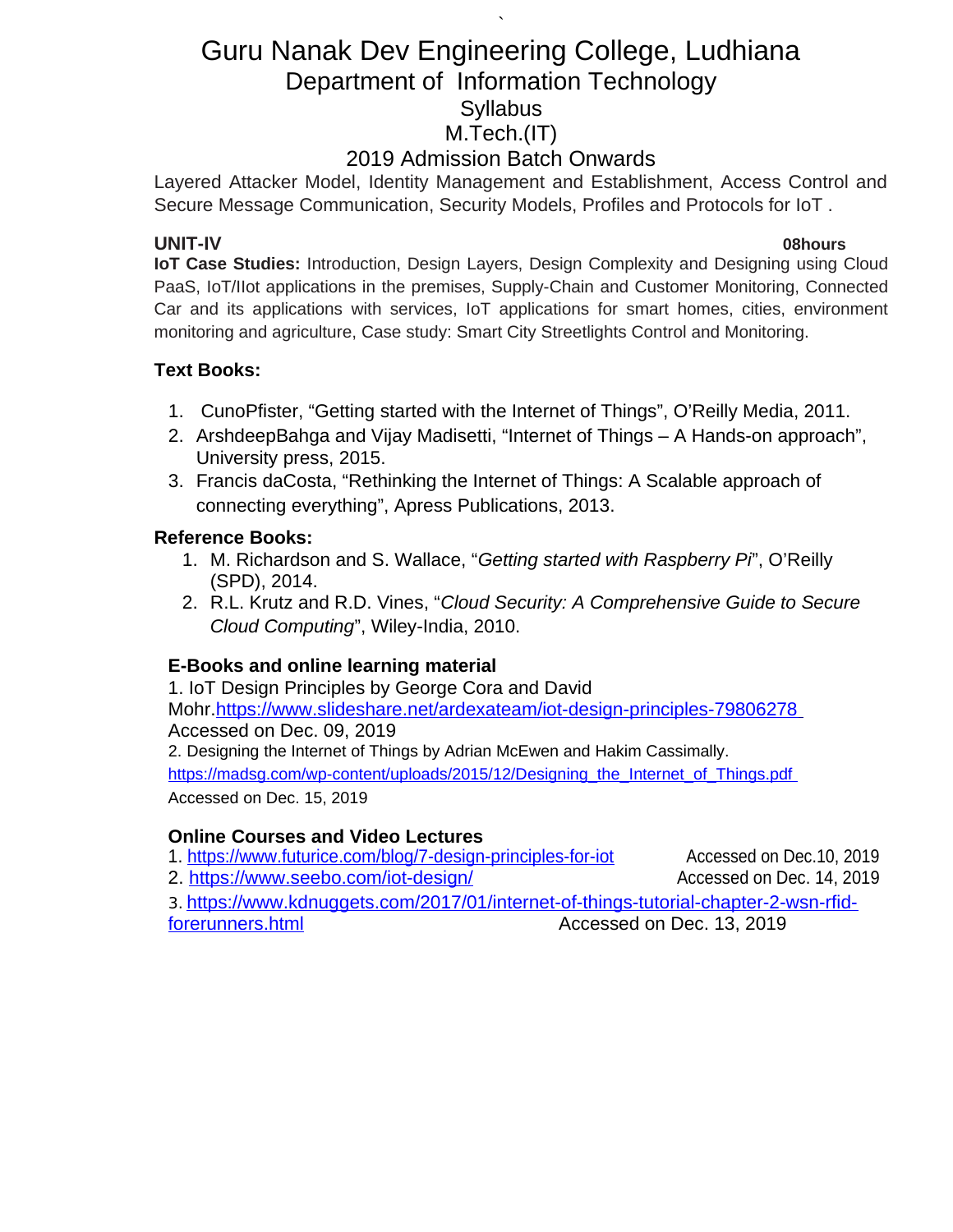# Guru Nanak Dev Engineering College, Ludhiana Department of Information Technology **Syllabus** M.Tech.(IT)

`

## 2019 Admission Batch Onwards

Layered Attacker Model, Identity Management and Establishment, Access Control and Secure Message Communication, Security Models, Profiles and Protocols for IoT .

### **UNIT-IV 08hours**

**IoT Case Studies:** Introduction, Design Layers, Design Complexity and Designing using Cloud PaaS, IoT/IIot applications in the premises, Supply-Chain and Customer Monitoring, Connected Car and its applications with services, IoT applications for smart homes, cities, environment monitoring and agriculture, Case study: Smart City Streetlights Control and Monitoring.

## **Text Books:**

- 1. CunoPfister, "Getting started with the Internet of Things", O'Reilly Media, 2011.
- 2. ArshdeepBahga and Vijay Madisetti, "Internet of Things A Hands-on approach", University press, 2015.
- 3. Francis daCosta, "Rethinking the Internet of Things: A Scalable approach of connecting everything", Apress Publications, 2013.

### **Reference Books:**

- 1. M. Richardson and S. Wallace, "*Getting started with Raspberry Pi*", O'Reilly (SPD), 2014.
- 2. R.L. Krutz and R.D. Vines, "*Cloud Security: A Comprehensive Guide to Secure Cloud Computing*", Wiley-India, 2010.

## **E-Books and online learning material**

1. IoT Design Principles by George Cora and David Mohr[. https://www.slideshare.net/ardexateam/iot-design-principles-79806278](https://www.slideshare.net/ardexateam/iot-design-principles-79806278) Accessed on Dec. 09, 2019 2. Designing the Internet of Things by Adrian McEwen and Hakim Cassimally. https://madsg.com/wp-content/uploads/2015/12/Designing\_the\_Internet\_of\_Things.pdf

Accessed on Dec. 15, 2019

## **Online Courses and Video Lectures**

1.<https://www.futurice.com/blog/7-design-principles-for-iot> Accessed on Dec.10, 2019

2.<https://www.seebo.com/iot-design/> and accessed on Dec. 14, 2019

3. [https://www.kdnuggets.com/2017/01/internet-of-things-tutorial-chapter-2-wsn-rfid](https://www.kdnuggets.com/2017/01/internet-of-things-tutorial-chapter-2-wsn-rfid-forerunners.html)forerunners.html **Accessed on Dec. 13, 2019**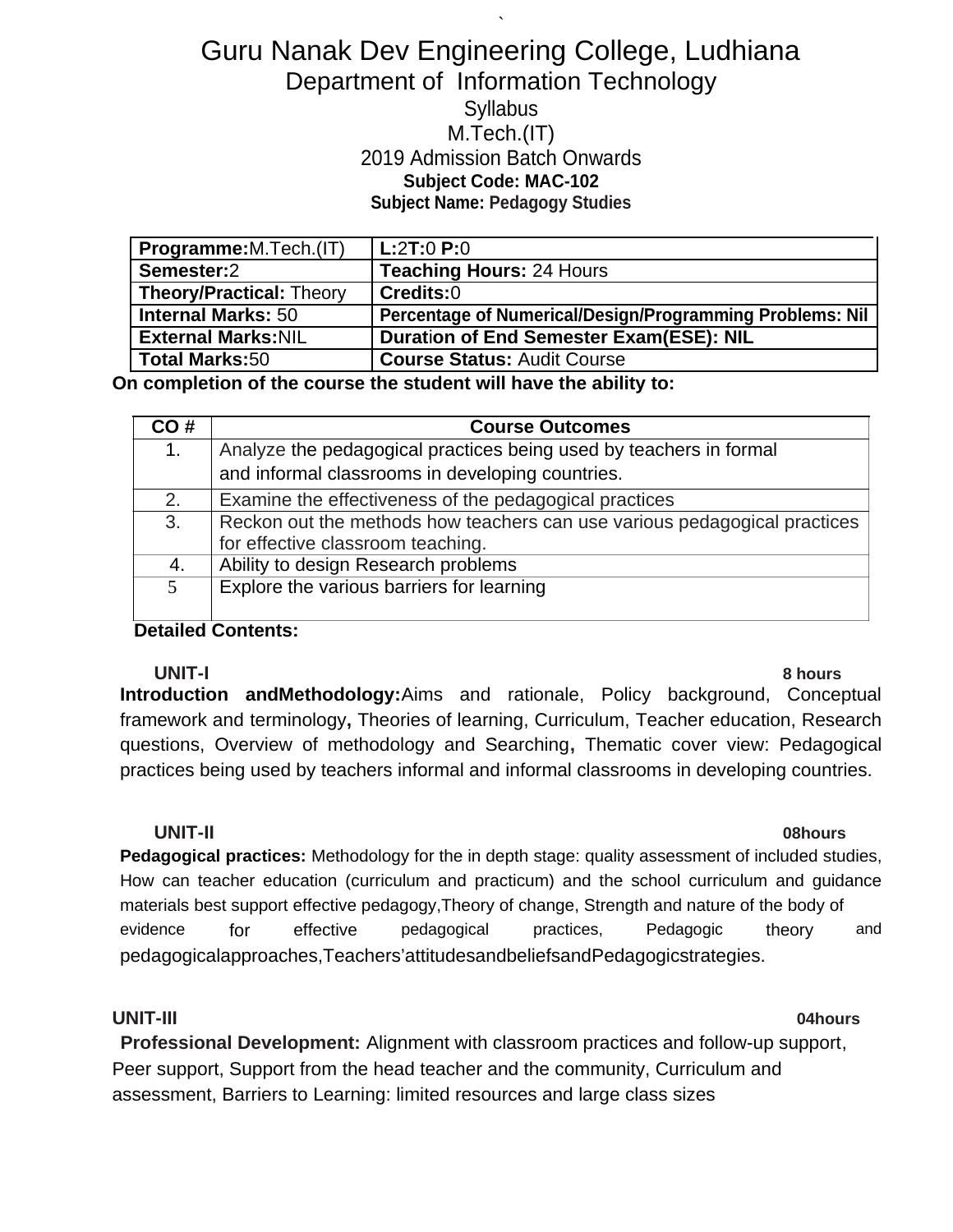## ` Guru Nanak Dev Engineering College, Ludhiana Department of Information Technology **Syllabus** M.Tech.(IT) 2019 Admission Batch Onwards **Subject Code: MAC-102 Subject Name: Pedagogy Studies**

| <b>Programme:</b> M. Tech. (IT) | L:2T:0 P:0                                               |
|---------------------------------|----------------------------------------------------------|
| Semester:2                      | <b>Teaching Hours: 24 Hours</b>                          |
| <b>Theory/Practical: Theory</b> | Credits:0                                                |
| <b>Internal Marks: 50</b>       | Percentage of Numerical/Design/Programming Problems: Nil |
| <b>External Marks: NIL</b>      | <b>Duration of End Semester Exam(ESE): NIL</b>           |
| Total Marks:50                  | <b>Course Status: Audit Course</b>                       |

**On completion of the course the student will have the ability to:**

| CO# | <b>Course Outcomes</b>                                                    |
|-----|---------------------------------------------------------------------------|
| 1.  | Analyze the pedagogical practices being used by teachers in formal        |
|     | and informal classrooms in developing countries.                          |
| 2.  | Examine the effectiveness of the pedagogical practices                    |
| 3.  | Reckon out the methods how teachers can use various pedagogical practices |
|     | for effective classroom teaching.                                         |
| 4.  | Ability to design Research problems                                       |
| .5. | Explore the various barriers for learning                                 |
|     |                                                                           |

### **Detailed Contents:**

**UNIT-I 8 hours Introduction andMethodology:**Aims and rationale, Policy background, Conceptual framework and terminology**,** Theories of learning, Curriculum, Teacher education, Research questions, Overview of methodology and Searching**,** Thematic cover view: Pedagogical practices being used by teachers informal and informal classrooms in developing countries.

**UNIT-II 08hours Pedagogical practices:** Methodology for the in depth stage: quality assessment of included studies, How can teacher education (curriculum and practicum) and the school curriculum and guidance materials best support effective pedagogy,Theory of change, Strength and nature of the body of evidence for effective pedagogical practices, Pedagogic theory and pedagogicalapproaches,Teachers'attitudesandbeliefsandPedagogicstrategies.

#### **UNIT-III 04hours**

**Professional Development:** Alignment with classroom practices and follow-up support, Peer support, Support from the head teacher and the community, Curriculum and assessment, Barriers to Learning: limited resources and large class sizes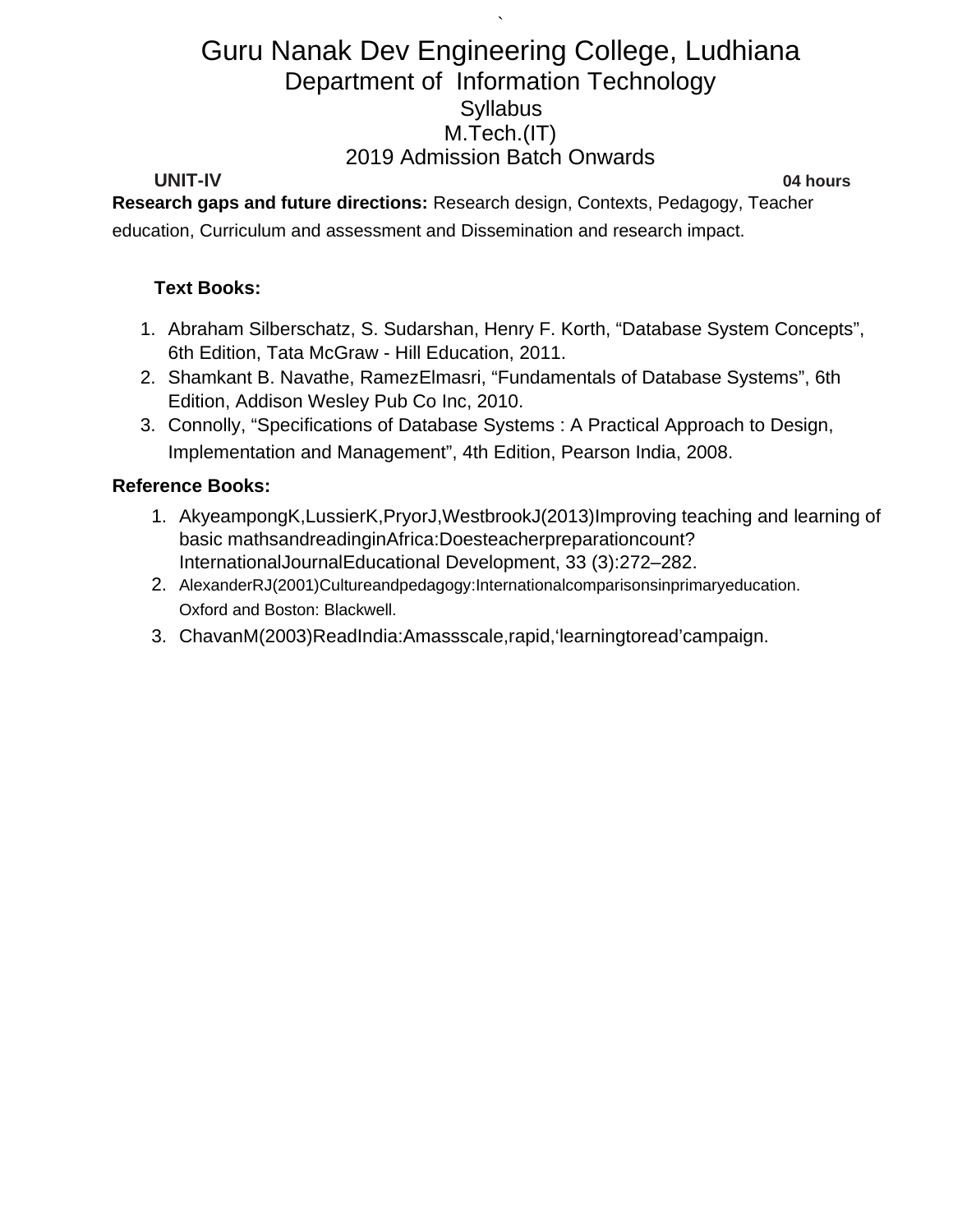`

#### **UNIT-IV 04 hours**

**Research gaps and future directions:** Research design, Contexts, Pedagogy, Teacher education, Curriculum and assessment and Dissemination and research impact.

#### **Text Books:**

- 1. Abraham Silberschatz, S. Sudarshan, Henry F. Korth, "Database System Concepts", 6th Edition, Tata McGraw - Hill Education, 2011.
- 2. Shamkant B. Navathe, RamezElmasri, "Fundamentals of Database Systems", 6th Edition, Addison Wesley Pub Co Inc, 2010.
- 3. Connolly, "Specifications of Database Systems : A Practical Approach to Design, Implementation and Management", 4th Edition, Pearson India, 2008.

#### **Reference Books:**

- 1. AkyeampongK,LussierK,PryorJ,WestbrookJ(2013)Improving teaching and learning of basic mathsandreadinginAfrica:Doesteacherpreparationcount? InternationalJournalEducational Development, 33 (3):272–282.
- 2. AlexanderRJ(2001)Cultureandpedagogy:Internationalcomparisonsinprimaryeducation. Oxford and Boston: Blackwell.
- 3. ChavanM(2003)ReadIndia:Amassscale,rapid,'learningtoread'campaign.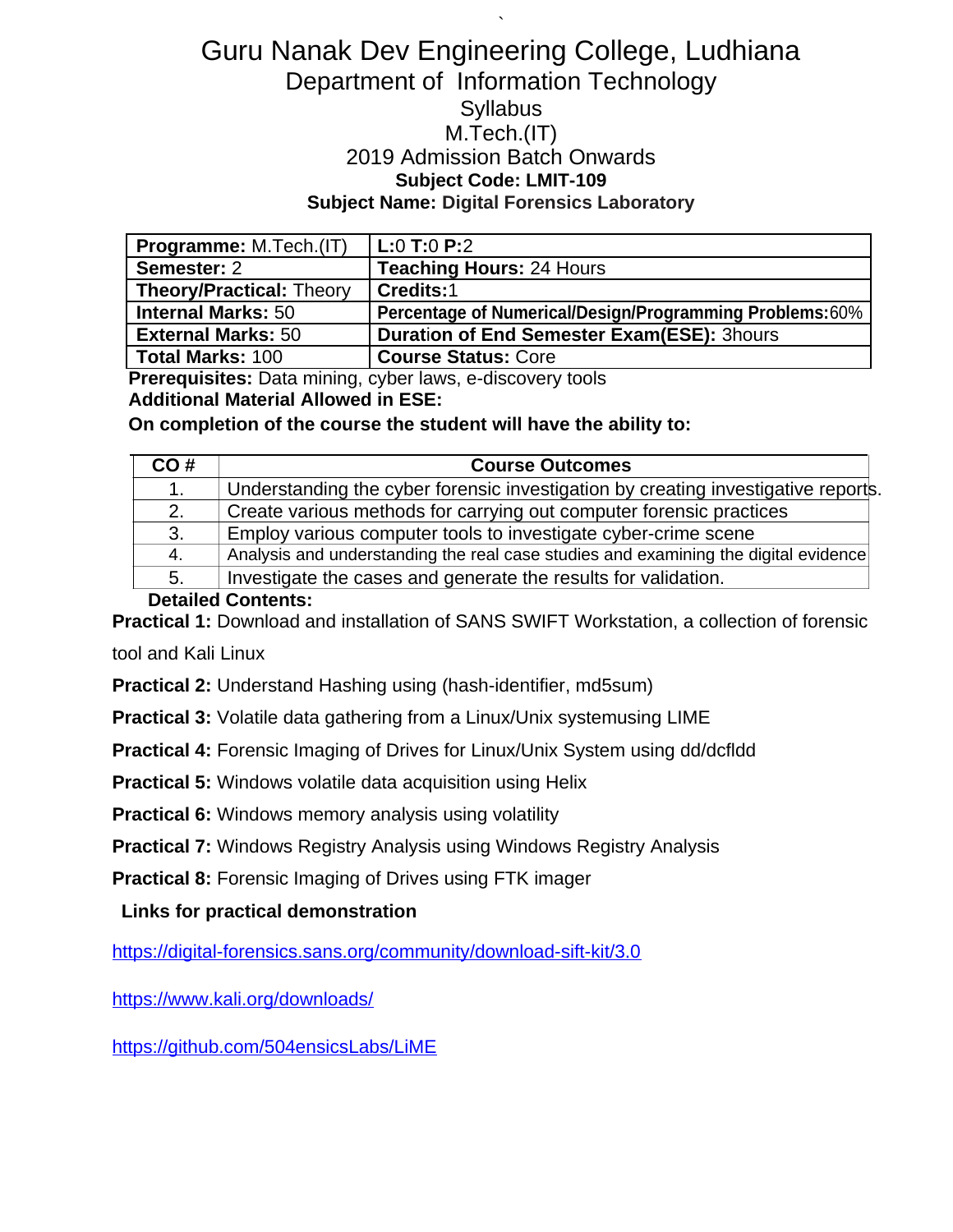## ` Guru Nanak Dev Engineering College, Ludhiana Department of Information Technology **Syllabus** M.Tech.(IT) 2019 Admission Batch Onwards **Subject Code: LMIT-109 Subject Name: Digital Forensics Laboratory**

| <b>Programme: M.Tech.(IT)</b>   | $L:0$ T:0 P:2                                           |
|---------------------------------|---------------------------------------------------------|
| Semester: 2                     | <b>Teaching Hours: 24 Hours</b>                         |
| <b>Theory/Practical: Theory</b> | Credits:1                                               |
| <b>Internal Marks: 50</b>       | Percentage of Numerical/Design/Programming Problems:60% |
| <b>External Marks: 50</b>       | <b>Duration of End Semester Exam(ESE): 3hours</b>       |
| <b>Total Marks: 100</b>         | <b>Course Status: Core</b>                              |

**Prerequisites:** Data mining, cyber laws, e-discovery tools

**Additional Material Allowed in ESE:**

**On completion of the course the student will have the ability to:**

| CO# | <b>Course Outcomes</b>                                                              |
|-----|-------------------------------------------------------------------------------------|
| 1.  | Understanding the cyber forensic investigation by creating investigative reports.   |
| 2.  | Create various methods for carrying out computer forensic practices                 |
| 3.  | Employ various computer tools to investigate cyber-crime scene                      |
| 4.  | Analysis and understanding the real case studies and examining the digital evidence |
| 5.  | Investigate the cases and generate the results for validation.                      |

### **Detailed Contents:**

**Practical 1:** Download and installation of SANS SWIFT Workstation, a collection of forensic

tool and Kali Linux

**Practical 2:** Understand Hashing using (hash-identifier, md5sum)

**Practical 3:** Volatile data gathering from a Linux/Unix systemusing LIME

**Practical 4:** Forensic Imaging of Drives for Linux/Unix System using dd/dcfldd

**Practical 5:** Windows volatile data acquisition using Helix

**Practical 6:** Windows memory analysis using volatility

**Practical 7:** Windows Registry Analysis using Windows Registry Analysis

**Practical 8:** Forensic Imaging of Drives using FTK imager

**Links for practical demonstration**

<https://digital-forensics.sans.org/community/download-sift-kit/3.0>

<https://www.kali.org/downloads/>

<https://github.com/504ensicsLabs/LiME>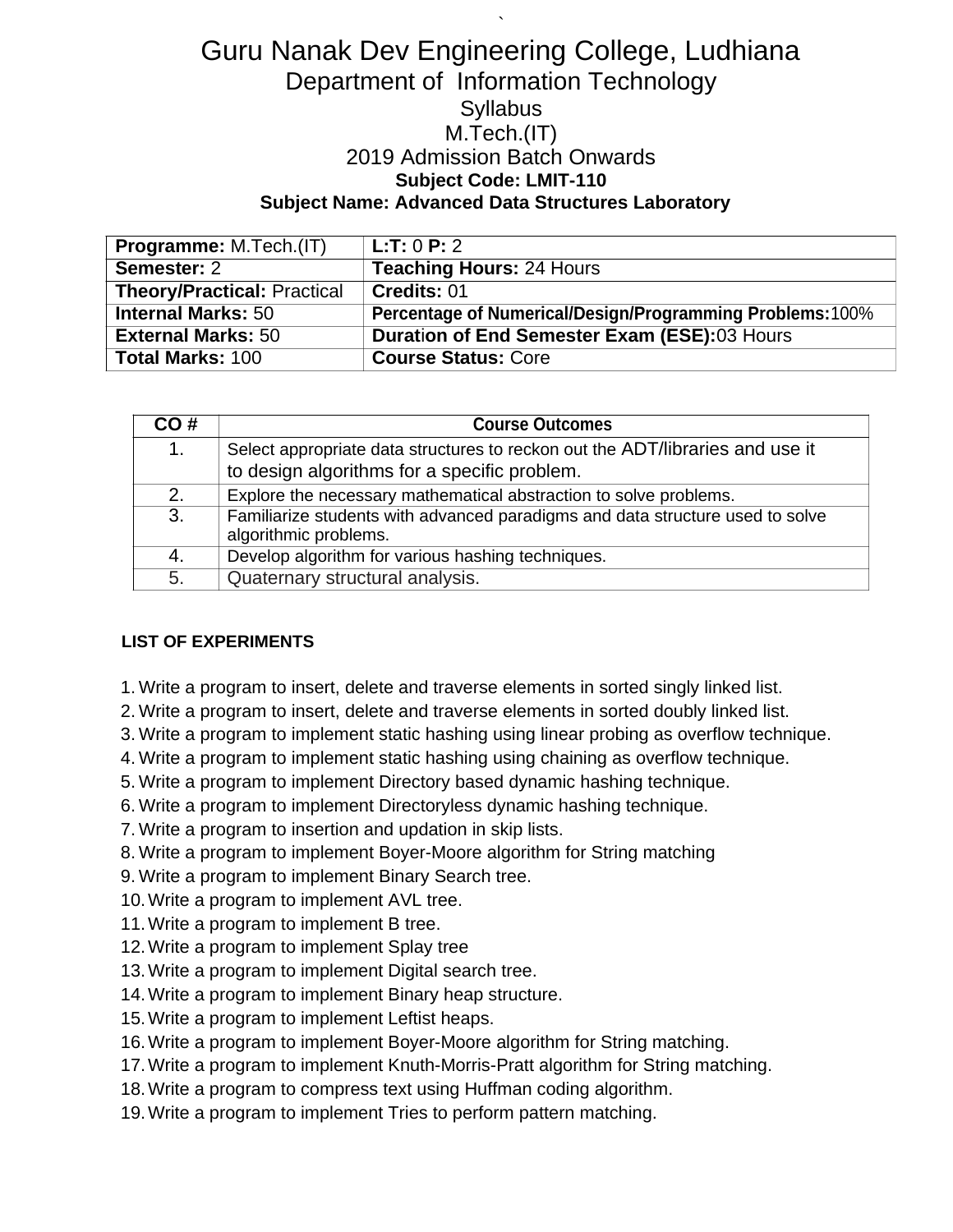# Guru Nanak Dev Engineering College, Ludhiana Department of Information Technology **Syllabus** M.Tech.(IT) 2019 Admission Batch Onwards **Subject Code: LMIT-110 Subject Name: Advanced Data Structures Laboratory**

`

| <b>Programme: M.Tech.(IT)</b>      | L:T: 0 P: 2                                               |
|------------------------------------|-----------------------------------------------------------|
| Semester: 2                        | <b>Teaching Hours: 24 Hours</b>                           |
| <b>Theory/Practical: Practical</b> | Credits: 01                                               |
| <b>Internal Marks: 50</b>          | Percentage of Numerical/Design/Programming Problems: 100% |
| <b>External Marks: 50</b>          | Duration of End Semester Exam (ESE):03 Hours              |
| <b>Total Marks: 100</b>            | <b>Course Status: Core</b>                                |

| CO# | <b>Course Outcomes</b>                                                                                 |
|-----|--------------------------------------------------------------------------------------------------------|
| 1.  | Select appropriate data structures to reckon out the ADT/libraries and use it                          |
|     | to design algorithms for a specific problem.                                                           |
| 2.  | Explore the necessary mathematical abstraction to solve problems.                                      |
| 3.  | Familiarize students with advanced paradigms and data structure used to solve<br>algorithmic problems. |
| 4.  | Develop algorithm for various hashing techniques.                                                      |
| 5.  | Quaternary structural analysis.                                                                        |

#### **LIST OF EXPERIMENTS**

- 1. Write a program to insert, delete and traverse elements in sorted singly linked list.
- 2. Write a program to insert, delete and traverse elements in sorted doubly linked list.
- 3. Write a program to implement static hashing using linear probing as overflow technique.
- 4. Write a program to implement static hashing using chaining as overflow technique.
- 5. Write a program to implement Directory based dynamic hashing technique.
- 6. Write a program to implement Directoryless dynamic hashing technique.
- 7. Write a program to insertion and updation in skip lists.
- 8. Write a program to implement Boyer-Moore algorithm for String matching
- 9. Write a program to implement Binary Search tree.
- 10.Write a program to implement AVL tree.
- 11.Write a program to implement B tree.
- 12.Write a program to implement Splay tree
- 13.Write a program to implement Digital search tree.
- 14.Write a program to implement Binary heap structure.
- 15.Write a program to implement Leftist heaps.
- 16.Write a program to implement Boyer-Moore algorithm for String matching.
- 17.Write a program to implement Knuth-Morris-Pratt algorithm for String matching.
- 18.Write a program to compress text using Huffman coding algorithm.
- 19.Write a program to implement Tries to perform pattern matching.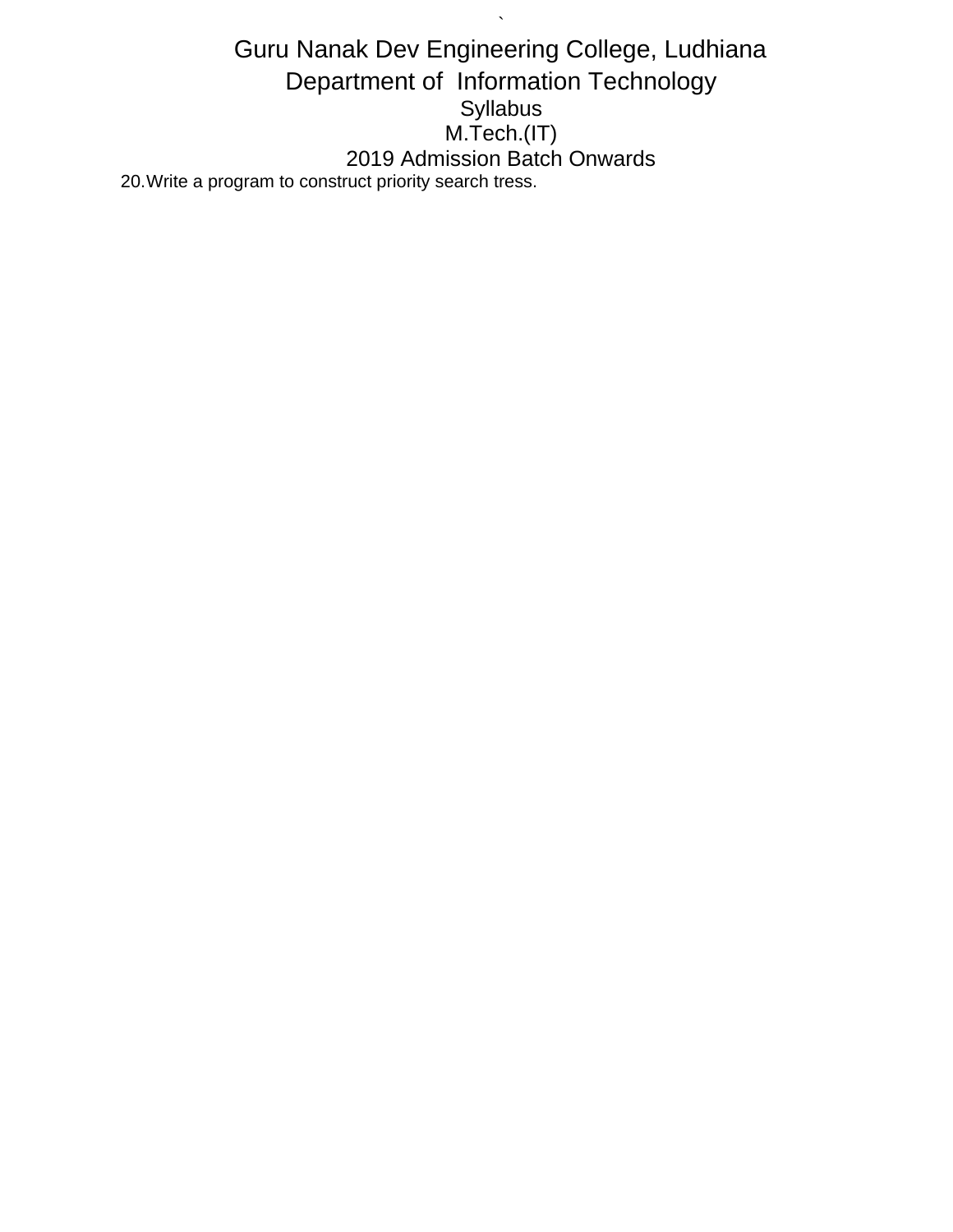Guru Nanak Dev Engineering College, Ludhiana Department of Information Technology Syllabus M.Tech.(IT) 2019 Admission Batch Onwards 20.Write a program to construct priority search tress.

 $\hat{\mathbf{v}}$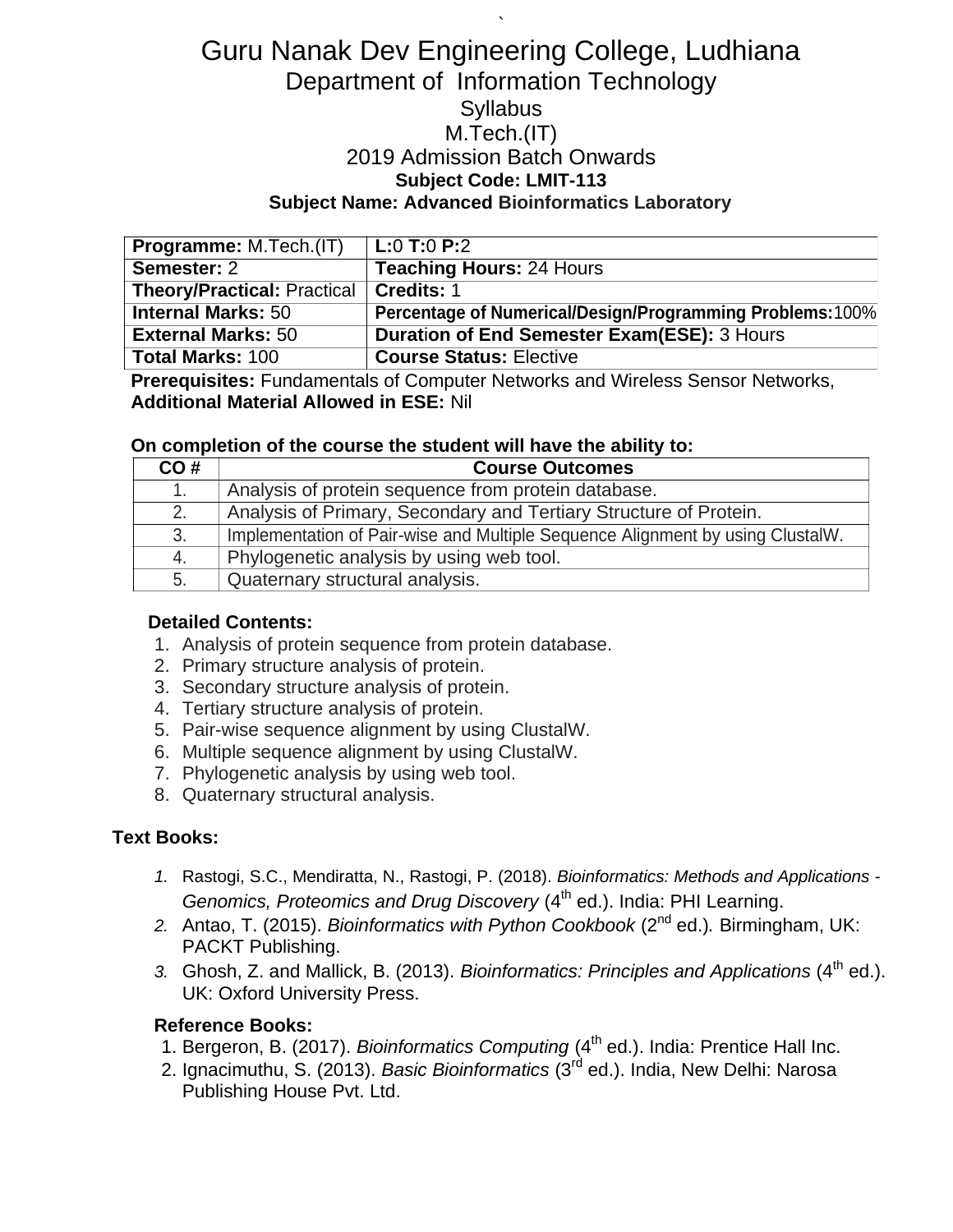# Guru Nanak Dev Engineering College, Ludhiana Department of Information Technology **Syllabus** M.Tech.(IT) 2019 Admission Batch Onwards **Subject Code: LMIT-113 Subject Name: Advanced Bioinformatics Laboratory**

`

| <b>Programme: M.Tech.(IT)</b>      | $L:0$ T:0 P:2                                            |
|------------------------------------|----------------------------------------------------------|
| Semester: 2                        | <b>Teaching Hours: 24 Hours</b>                          |
| <b>Theory/Practical: Practical</b> | Credits: 1                                               |
| <b>Internal Marks: 50</b>          | Percentage of Numerical/Design/Programming Problems:100% |
| <b>External Marks: 50</b>          | <b>Duration of End Semester Exam(ESE): 3 Hours</b>       |
| <b>Total Marks: 100</b>            | <b>Course Status: Elective</b>                           |

**Prerequisites:** Fundamentals of Computer Networks and Wireless Sensor Networks, **Additional Material Allowed in ESE:** Nil

#### **On completion of the course the student will have the ability to:**

| CO# | <b>Course Outcomes</b>                                                         |
|-----|--------------------------------------------------------------------------------|
| 1.  | Analysis of protein sequence from protein database.                            |
| 2.  | Analysis of Primary, Secondary and Tertiary Structure of Protein.              |
| 3.  | Implementation of Pair-wise and Multiple Sequence Alignment by using ClustalW. |
| 4.  | Phylogenetic analysis by using web tool.                                       |
| 5.  | Quaternary structural analysis.                                                |

#### **Detailed Contents:**

- 1. Analysis of protein sequence from protein database.
- 2. Primary structure analysis of protein.
- 3. Secondary structure analysis of protein.
- 4. Tertiary structure analysis of protein.
- 5. Pair-wise sequence alignment by using ClustalW.
- 6. Multiple sequence alignment by using ClustalW.
- 7. Phylogenetic analysis by using web tool.
- 8. Quaternary structural analysis.

#### **Text Books:**

- *1.* Rastogi, S.C., Mendiratta, N., Rastogi, P. (2018). *Bioinformatics: Methods and Applications - Genomics, Proteomics and Drug Discovery (4<sup>th</sup> ed.). India: PHI Learning.*
- *2.* Antao, T. (2015). *Bioinformatics with Python Cookbook* (2nd ed.)*.* Birmingham, UK: PACKT Publishing.
- 3. Ghosh, Z. and Mallick, B. (2013). *Bioinformatics: Principles and Applications* (4<sup>th</sup> ed.). UK: Oxford University Press.

#### **Reference Books:**

- 1. Bergeron, B. (2017). *Bioinformatics Computing* (4<sup>th</sup> ed.). India: Prentice Hall Inc.
- 2. Ignacimuthu, S. (2013). *Basic Bioinformatics* (3rd ed.). India, New Delhi: Narosa Publishing House Pvt. Ltd.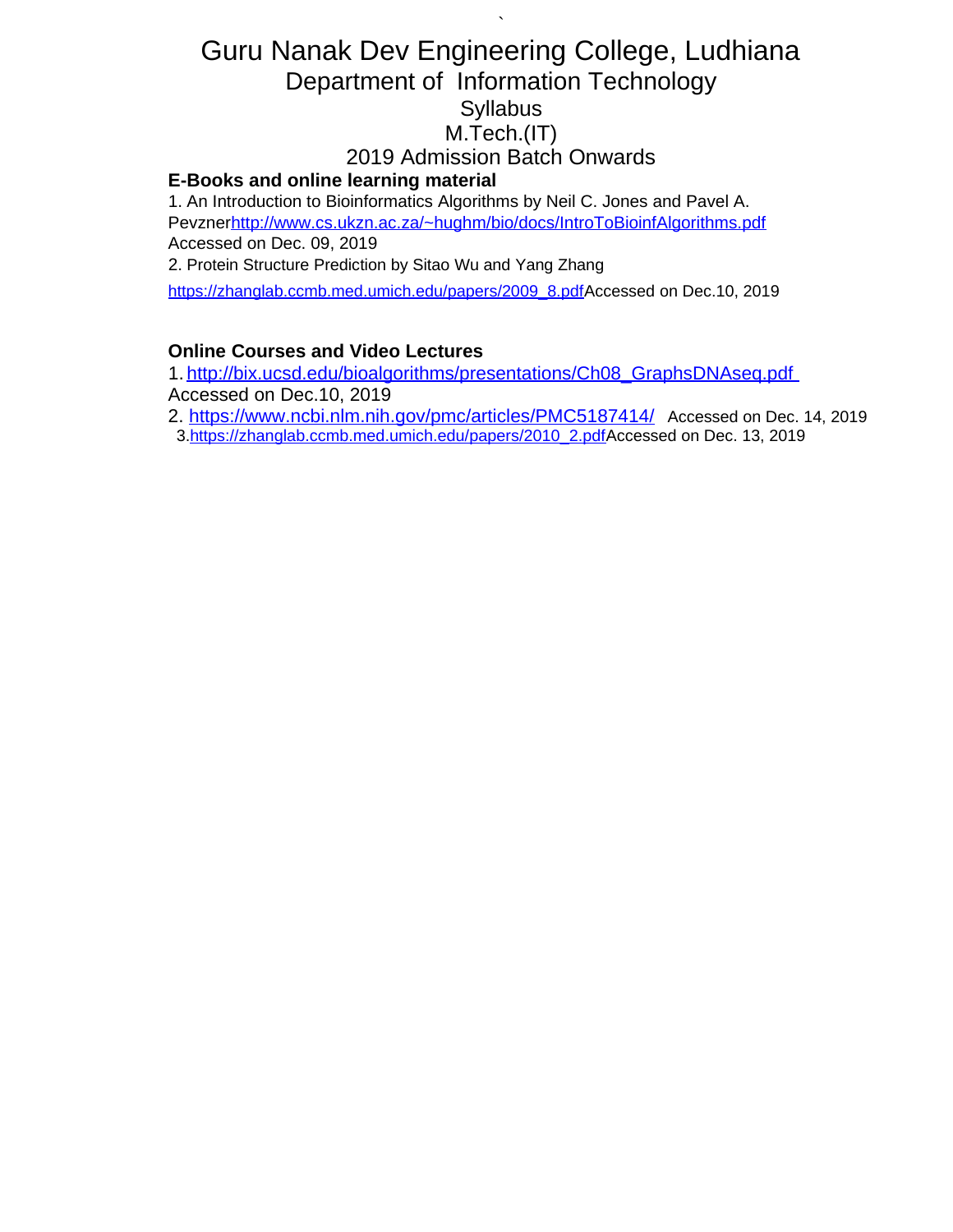# Guru Nanak Dev Engineering College, Ludhiana Department of Information Technology **Syllabus** M.Tech.(IT) 2019 Admission Batch Onwards **E-Books and online learning material**

`

1. An Introduction to Bioinformatics Algorithms by Neil C. Jones and Pavel A. Pevzne[rhttp://www.cs.ukzn.ac.za/~hughm/bio/docs/IntroToBioinfAlgorithms.pdf](http://www.cs.ukzn.ac.za/~hughm/bio/docs/IntroToBioinfAlgorithms.pdf) Accessed on Dec. 09, 2019

2. Protein Structure Prediction by Sitao Wu and Yang Zhang

[https://zhanglab.ccmb.med.umich.edu/papers/2009\\_8.pdfA](https://zhanglab.ccmb.med.umich.edu/papers/2009_8.pdf)ccessed on Dec.10, 2019

## **Online Courses and Video Lectures**

1. [http://bix.ucsd.edu/bioalgorithms/presentations/Ch08\\_GraphsDNAseq.pdf](http://bix.ucsd.edu/bioalgorithms/presentations/Ch08_GraphsDNAseq.pdf) Accessed on Dec.10, 2019

2.<https://www.ncbi.nlm.nih.gov/pmc/articles/PMC5187414/> Accessed on Dec. 14, 2019

3[.https://zhanglab.ccmb.med.umich.edu/papers/2010\\_2.pdfA](https://zhanglab.ccmb.med.umich.edu/papers/2010_2.pdf)ccessed on Dec. 13, 2019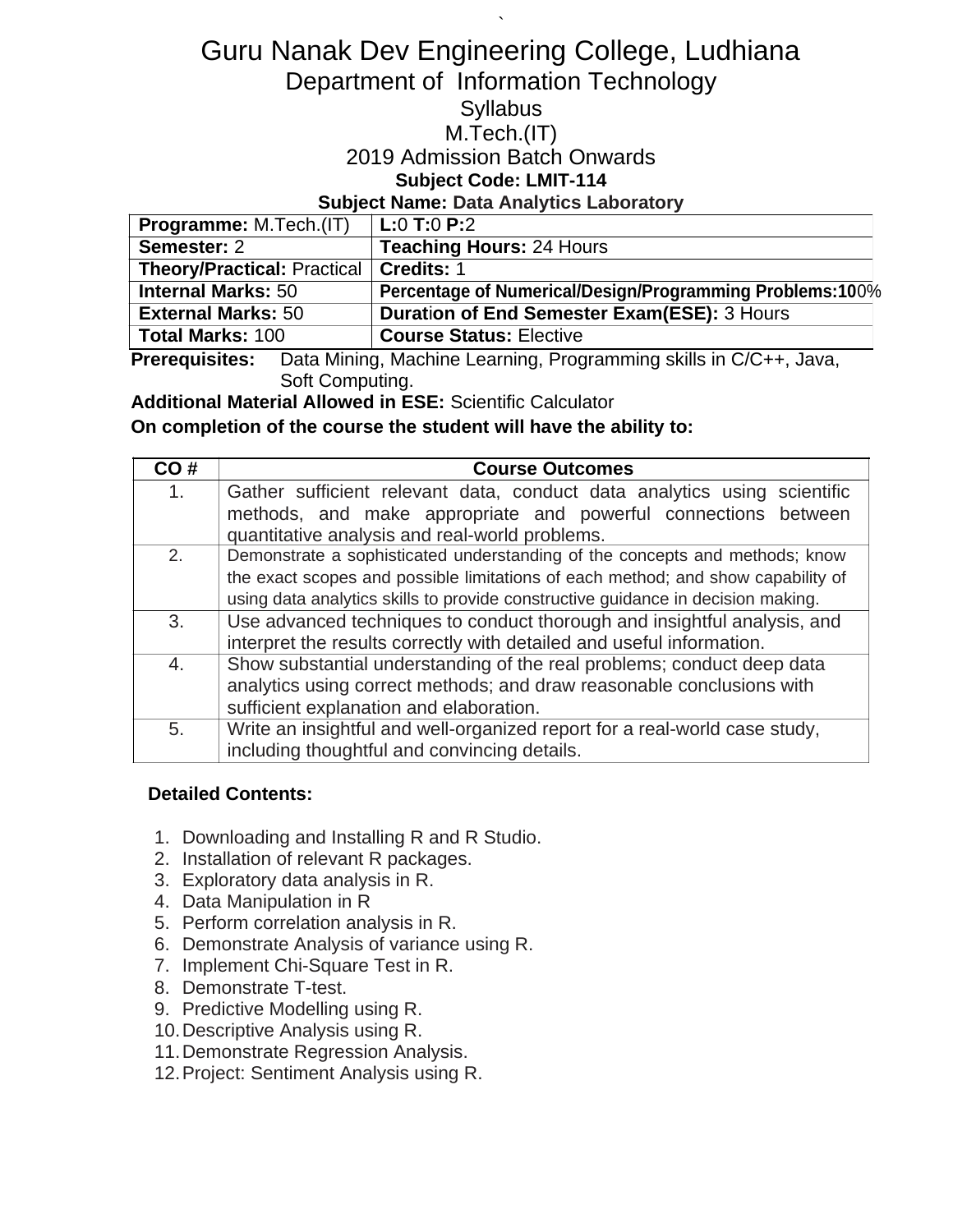# Guru Nanak Dev Engineering College, Ludhiana Department of Information Technology

`

# **Syllabus**

## M.Tech.(IT)

## 2019 Admission Batch Onwards

## **Subject Code: LMIT-114**

### **Subject Name: Data Analytics Laboratory**

| <b>Programme: M.Tech.(IT)</b>            | $L:0$ T:0 P:2                                            |
|------------------------------------------|----------------------------------------------------------|
| Semester: 2                              | <b>Teaching Hours: 24 Hours</b>                          |
| Theory/Practical: Practical   Credits: 1 |                                                          |
| <b>Internal Marks: 50</b>                | Percentage of Numerical/Design/Programming Problems:100% |
| <b>External Marks: 50</b>                | <b>Duration of End Semester Exam(ESE): 3 Hours</b>       |
| <b>Total Marks: 100</b>                  | <b>Course Status: Elective</b>                           |

**Prerequisites:** Data Mining, Machine Learning, Programming skills in C/C++, Java, Soft Computing.

**Additional Material Allowed in ESE:** Scientific Calculator

### **On completion of the course the student will have the ability to:**

| CO# | <b>Course Outcomes</b>                                                                                           |
|-----|------------------------------------------------------------------------------------------------------------------|
| 1.  | Gather sufficient relevant data, conduct data analytics using scientific                                         |
|     | methods, and make appropriate and powerful connections between<br>quantitative analysis and real-world problems. |
| 2.  | Demonstrate a sophisticated understanding of the concepts and methods; know                                      |
|     |                                                                                                                  |
|     | the exact scopes and possible limitations of each method; and show capability of                                 |
|     | using data analytics skills to provide constructive guidance in decision making.                                 |
| 3.  | Use advanced techniques to conduct thorough and insightful analysis, and                                         |
|     | interpret the results correctly with detailed and useful information.                                            |
| 4.  | Show substantial understanding of the real problems; conduct deep data                                           |
|     | analytics using correct methods; and draw reasonable conclusions with                                            |
|     | sufficient explanation and elaboration.                                                                          |
| 5.  | Write an insightful and well-organized report for a real-world case study,                                       |
|     | including thoughtful and convincing details.                                                                     |

### **Detailed Contents:**

- 1. Downloading and Installing R and R Studio.
- 2. Installation of relevant R packages.
- 3. Exploratory data analysis in R.
- 4. Data Manipulation in R
- 5. Perform correlation analysis in R.
- 6. Demonstrate Analysis of variance using R.
- 7. Implement Chi-Square Test in R.
- 8. Demonstrate T-test.
- 9. Predictive Modelling using R.
- 10.Descriptive Analysis using R.
- 11.Demonstrate Regression Analysis.
- 12.Project: Sentiment Analysis using R.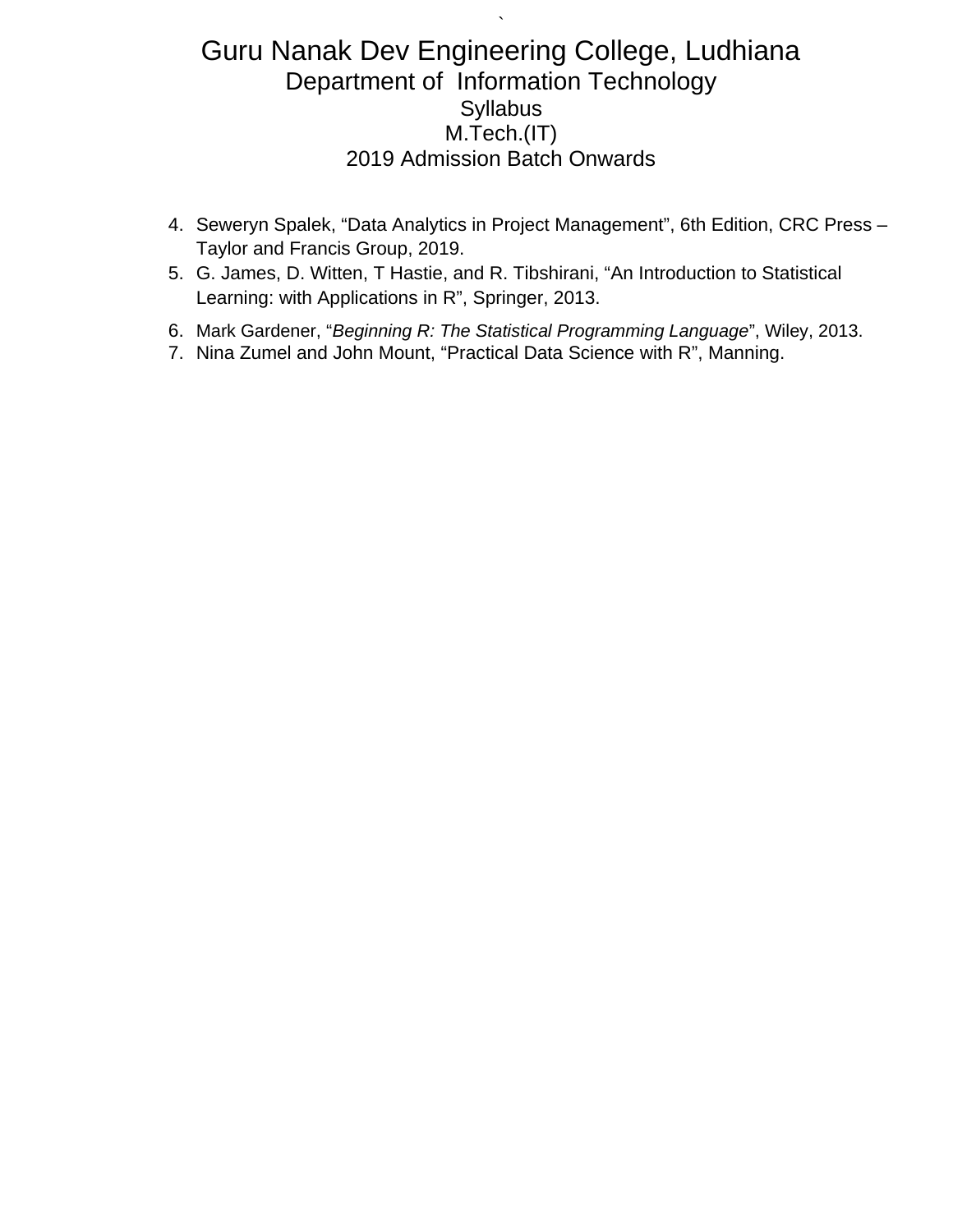`

- 4. Seweryn Spalek, "Data Analytics in Project Management", 6th Edition, CRC Press Taylor and Francis Group, 2019.
- 5. G. James, D. Witten, T Hastie, and R. Tibshirani, "An Introduction to Statistical Learning: with Applications in R", Springer, 2013.
- 6. Mark Gardener, "*Beginning R: The Statistical Programming Language*", Wiley, 2013.
- 7. Nina Zumel and John Mount, "Practical Data Science with R", Manning.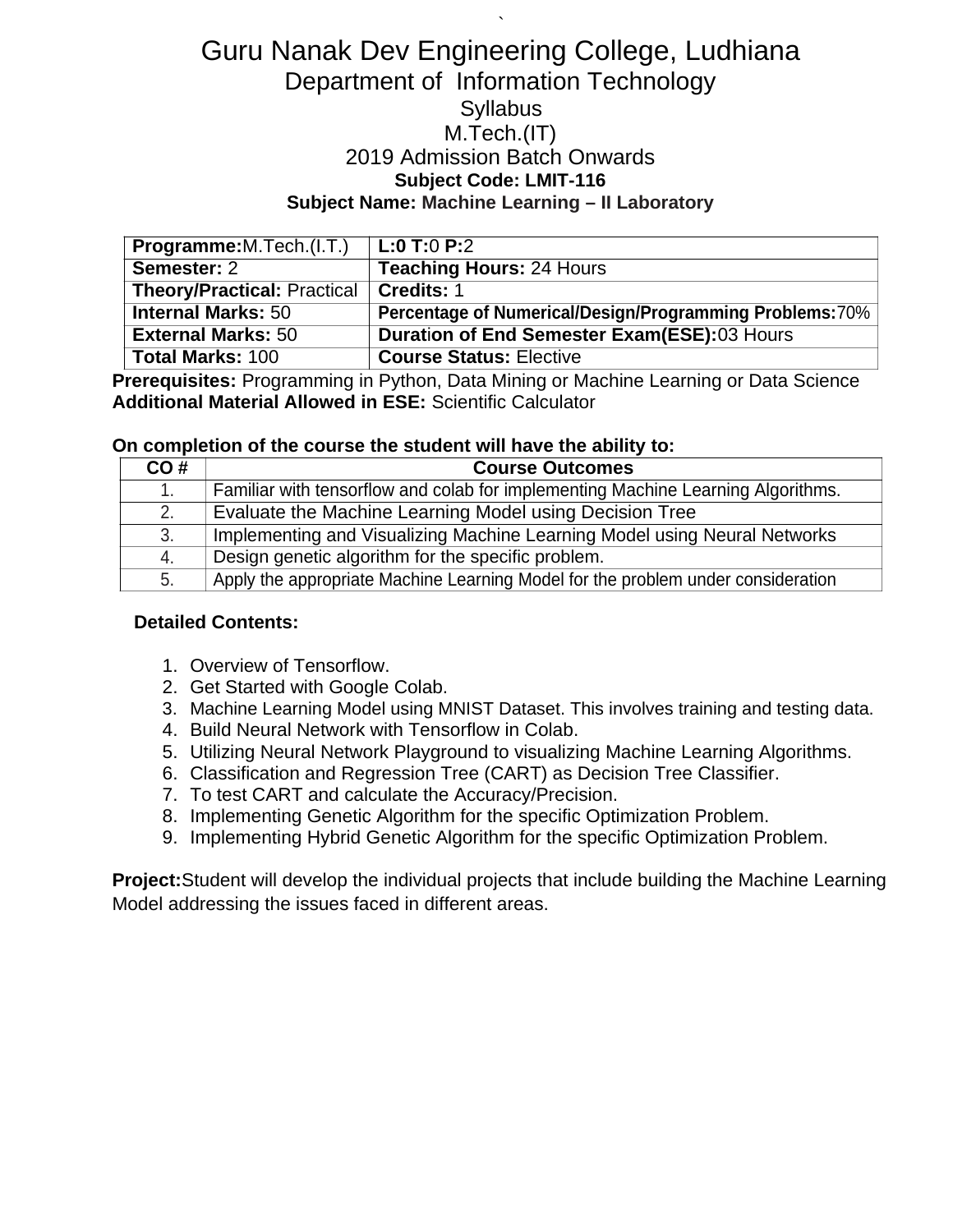# Guru Nanak Dev Engineering College, Ludhiana Department of Information Technology **Syllabus** M.Tech.(IT) 2019 Admission Batch Onwards **Subject Code: LMIT-116 Subject Name: Machine Learning – II Laboratory**

`

| <b>Programme:</b> M. Tech. (I. T.) | L:0 T:0 P:2                                                     |
|------------------------------------|-----------------------------------------------------------------|
| Semester: 2                        | <b>Teaching Hours: 24 Hours</b>                                 |
| <b>Theory/Practical: Practical</b> | Credits: 1                                                      |
| <b>Internal Marks: 50</b>          | <b>Percentage of Numerical/Design/Programming Problems: 70%</b> |
| <b>External Marks: 50</b>          | Duration of End Semester Exam(ESE):03 Hours                     |
| <b>Total Marks: 100</b>            | <b>Course Status: Elective</b>                                  |

**Prerequisites:** Programming in Python, Data Mining or Machine Learning or Data Science **Additional Material Allowed in ESE:** Scientific Calculator

#### **On completion of the course the student will have the ability to:**

| CO# | <b>Course Outcomes</b>                                                           |
|-----|----------------------------------------------------------------------------------|
| 1.  | Familiar with tensorflow and colab for implementing Machine Learning Algorithms. |
| 2.  | Evaluate the Machine Learning Model using Decision Tree                          |
| 3.  | Implementing and Visualizing Machine Learning Model using Neural Networks        |
| 4.  | Design genetic algorithm for the specific problem.                               |
| 5.  | Apply the appropriate Machine Learning Model for the problem under consideration |

#### **Detailed Contents:**

- 1. Overview of Tensorflow.
- 2. Get Started with Google Colab.
- 3. Machine Learning Model using MNIST Dataset. This involves training and testing data.
- 4. Build Neural Network with Tensorflow in Colab.
- 5. Utilizing Neural Network Playground to visualizing Machine Learning Algorithms.
- 6. Classification and Regression Tree (CART) as Decision Tree Classifier.
- 7. To test CART and calculate the Accuracy/Precision.
- 8. Implementing Genetic Algorithm for the specific Optimization Problem.
- 9. Implementing Hybrid Genetic Algorithm for the specific Optimization Problem.

**Project:**Student will develop the individual projects that include building the Machine Learning Model addressing the issues faced in different areas.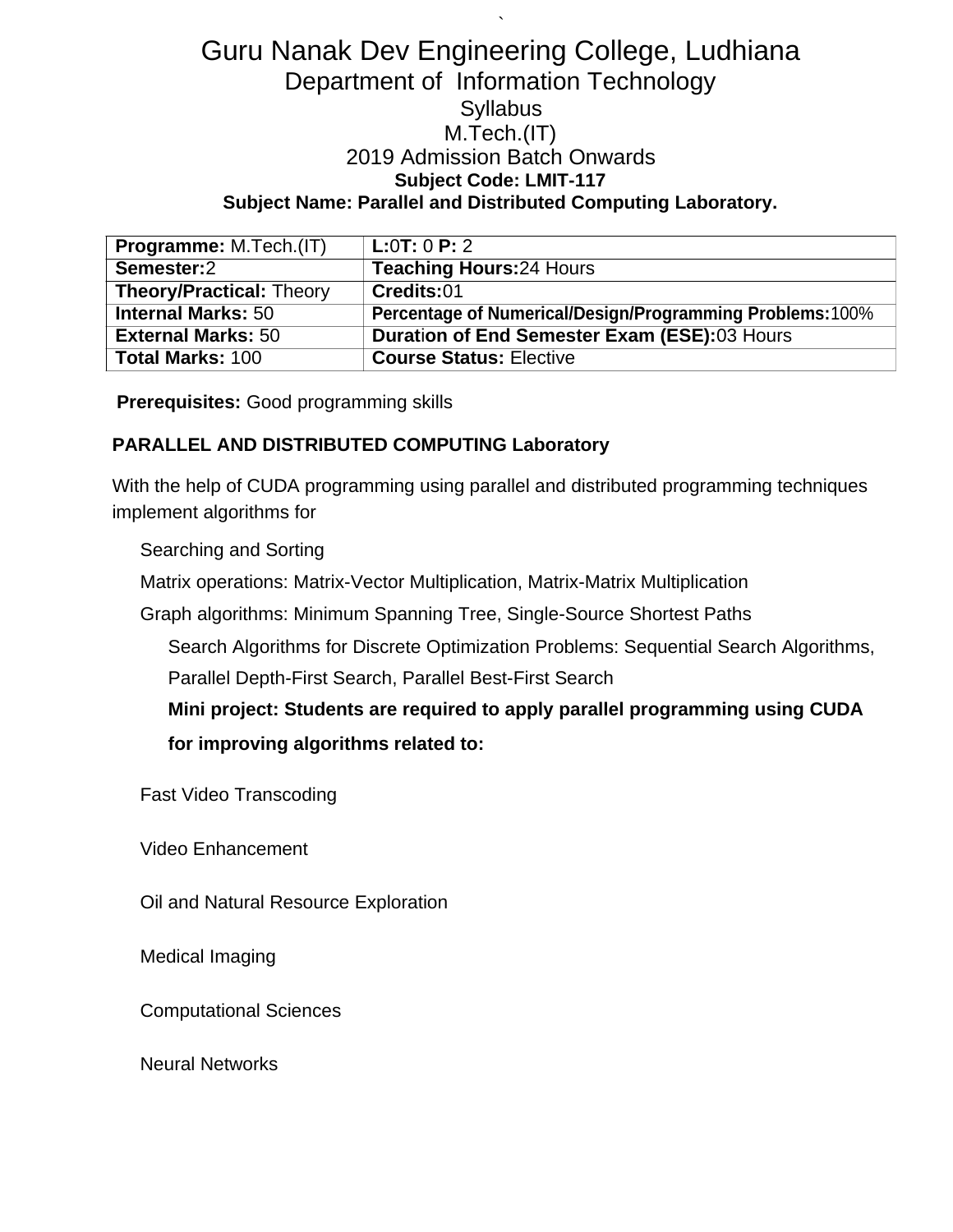## Guru Nanak Dev Engineering College, Ludhiana Department of Information Technology **Syllabus** M.Tech.(IT) 2019 Admission Batch Onwards **Subject Code: LMIT-117 Subject Name: Parallel and Distributed Computing Laboratory.**

`

| <b>Programme: M.Tech.(IT)</b>   | L:0T:0P:2                                                 |
|---------------------------------|-----------------------------------------------------------|
| Semester:2                      | <b>Teaching Hours:24 Hours</b>                            |
| <b>Theory/Practical: Theory</b> | Credits:01                                                |
| <b>Internal Marks: 50</b>       | Percentage of Numerical/Design/Programming Problems: 100% |
| <b>External Marks: 50</b>       | Duration of End Semester Exam (ESE):03 Hours              |
| <b>Total Marks: 100</b>         | <b>Course Status: Elective</b>                            |

**Prerequisites:** Good programming skills

### **PARALLEL AND DISTRIBUTED COMPUTING Laboratory**

With the help of CUDA programming using parallel and distributed programming techniques implement algorithms for

#### Searching and Sorting

Matrix operations: Matrix-Vector Multiplication, Matrix-Matrix Multiplication

Graph algorithms: Minimum Spanning Tree, Single-Source Shortest Paths

Search Algorithms for Discrete Optimization Problems: Sequential Search Algorithms,

Parallel Depth-First Search, Parallel Best-First Search

**Mini project: Students are required to apply parallel programming using CUDA for improving algorithms related to:**

Fast Video Transcoding

Video Enhancement

Oil and Natural Resource Exploration

Medical Imaging

Computational Sciences

Neural Networks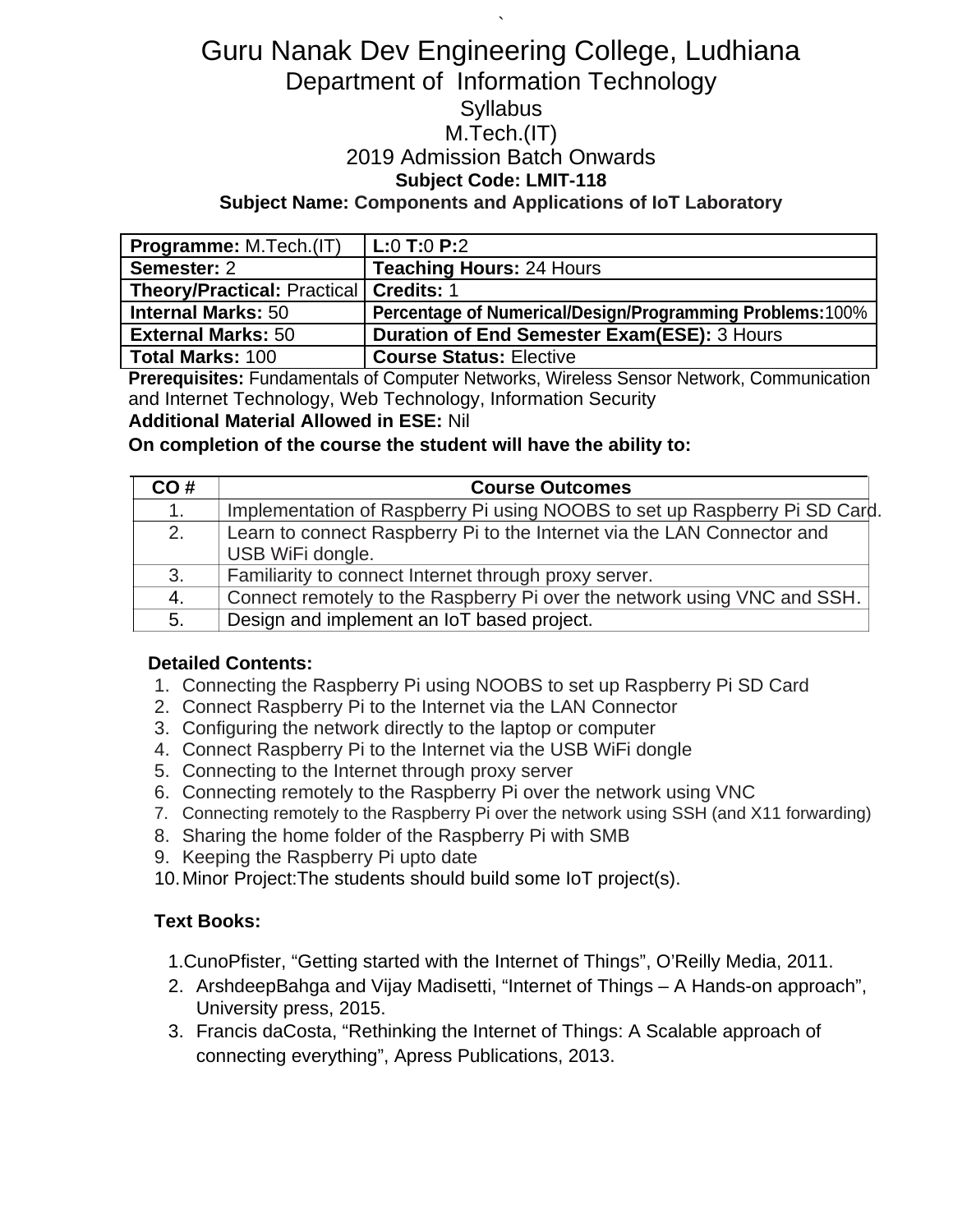# Guru Nanak Dev Engineering College, Ludhiana Department of Information Technology **Syllabus** M.Tech.(IT) 2019 Admission Batch Onwards **Subject Code: LMIT-118 Subject Name: Components and Applications of IoT Laboratory**

`

| <b>Programme: M.Tech.(IT)</b>            | $L:0$ T:0 P:2                                             |
|------------------------------------------|-----------------------------------------------------------|
| Semester: 2                              | <b>Teaching Hours: 24 Hours</b>                           |
| Theory/Practical: Practical   Credits: 1 |                                                           |
| <b>Internal Marks: 50</b>                | Percentage of Numerical/Design/Programming Problems: 100% |
| <b>External Marks: 50</b>                | <b>Duration of End Semester Exam(ESE): 3 Hours</b>        |
| <b>Total Marks: 100</b>                  | <b>Course Status: Elective</b>                            |

**Prerequisites:** Fundamentals of Computer Networks, Wireless Sensor Network, Communication and Internet Technology, Web Technology, Information Security

**Additional Material Allowed in ESE:** Nil

**On completion of the course the student will have the ability to:**

| CO# | <b>Course Outcomes</b>                                                     |
|-----|----------------------------------------------------------------------------|
| 1.  | Implementation of Raspberry Pi using NOOBS to set up Raspberry Pi SD Card. |
| 2.  | Learn to connect Raspberry Pi to the Internet via the LAN Connector and    |
|     | USB WiFi dongle.                                                           |
| 3.  | Familiarity to connect Internet through proxy server.                      |
| 4.  | Connect remotely to the Raspberry Pi over the network using VNC and SSH.   |
| 5.  | Design and implement an IoT based project.                                 |

### **Detailed Contents:**

- 1. Connecting the Raspberry Pi using NOOBS to set up Raspberry Pi SD Card
- 2. Connect Raspberry Pi to the Internet via the LAN Connector
- 3. Configuring the network directly to the laptop or computer
- 4. Connect Raspberry Pi to the Internet via the USB WiFi dongle
- 5. Connecting to the Internet through proxy server
- 6. Connecting remotely to the Raspberry Pi over the network using VNC
- 7. Connecting remotely to the Raspberry Pi over the network using SSH (and X11 forwarding)
- 8. Sharing the home folder of the Raspberry Pi with SMB
- 9. Keeping the Raspberry Pi upto date
- 10.Minor Project:The students should build some IoT project(s).

## **Text Books:**

- 1.CunoPfister, "Getting started with the Internet of Things", O'Reilly Media, 2011.
- 2. ArshdeepBahga and Vijay Madisetti, "Internet of Things A Hands-on approach", University press, 2015.
- 3. Francis daCosta, "Rethinking the Internet of Things: A Scalable approach of connecting everything", Apress Publications, 2013.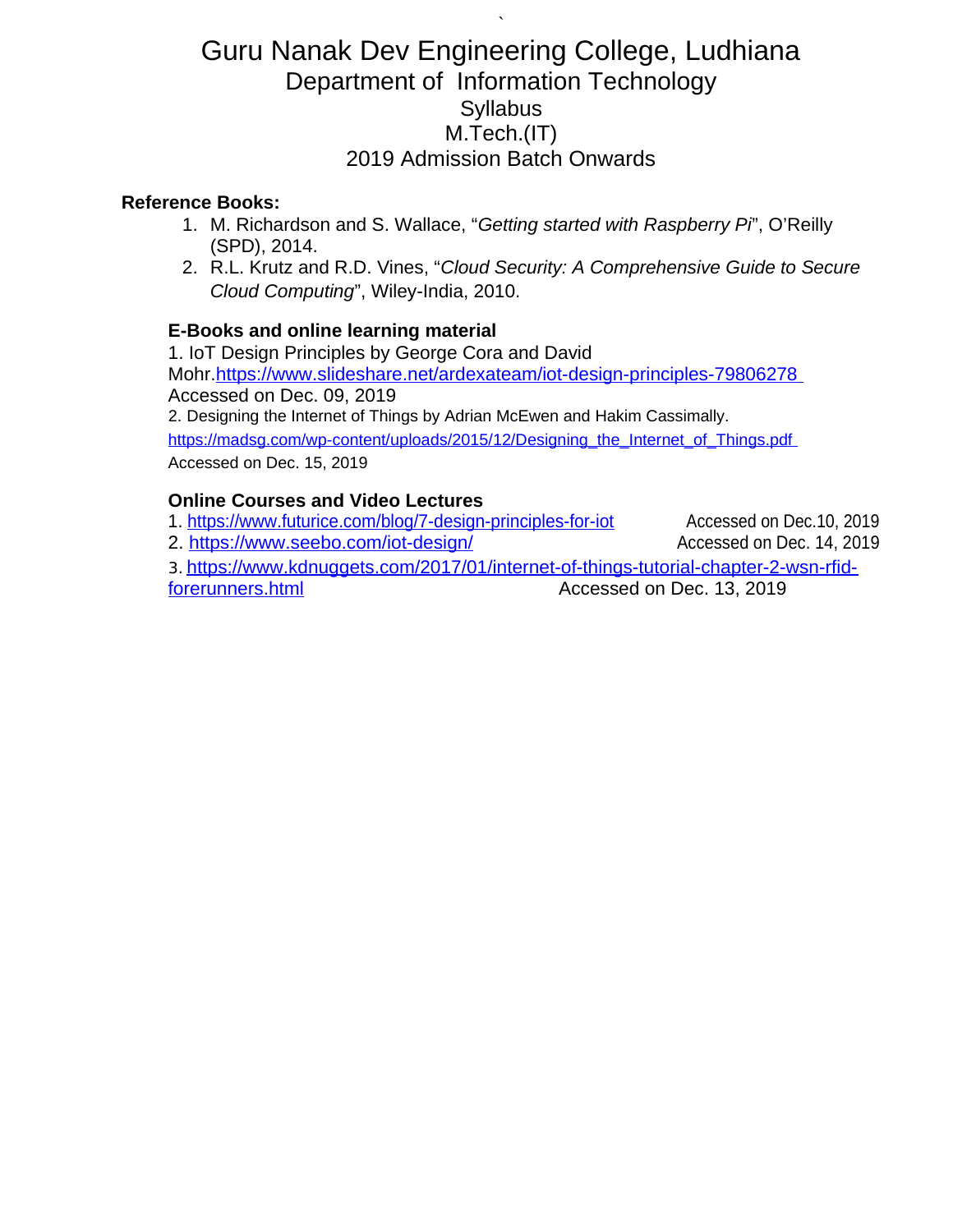`

### **Reference Books:**

- 1. M. Richardson and S. Wallace, "*Getting started with Raspberry Pi*", O'Reilly (SPD), 2014.
- 2. R.L. Krutz and R.D. Vines, "*Cloud Security: A Comprehensive Guide to Secure Cloud Computing*", Wiley-India, 2010.

## **E-Books and online learning material**

1. IoT Design Principles by George Cora and David Mohr[. https://www.slideshare.net/ardexateam/iot-design-principles-79806278](https://www.slideshare.net/ardexateam/iot-design-principles-79806278) Accessed on Dec. 09, 2019 2. Designing the Internet of Things by Adrian McEwen and Hakim Cassimally. https://madsg.com/wp-content/uploads/2015/12/Designing\_the\_Internet\_of\_Things.pdf Accessed on Dec. 15, 2019

## **Online Courses and Video Lectures**

1.<https://www.futurice.com/blog/7-design-principles-for-iot> Accessed on Dec.10, 2019 2.<https://www.seebo.com/iot-design/> Accessed on Dec. 14, 2019 3. [https://www.kdnuggets.com/2017/01/internet-of-things-tutorial-chapter-2-wsn-rfid-](https://www.kdnuggets.com/2017/01/internet-of-things-tutorial-chapter-2-wsn-rfid-forerunners.html)

forerunners.html Accessed on Dec. 13, 2019